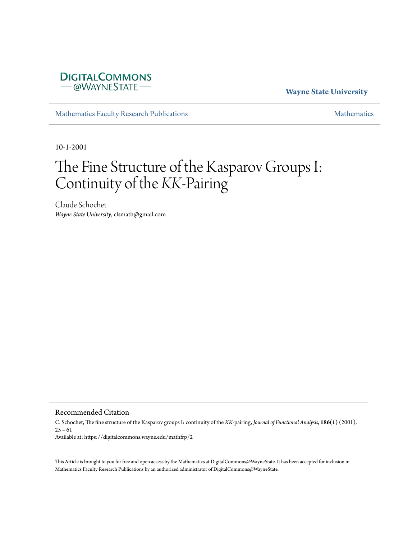# **DIGITALCOMMONS** -@WAYNESTATE-

# **Wayne State University**

[Mathematics Faculty Research Publications](https://digitalcommons.wayne.edu/mathfrp) **[Mathematics](https://digitalcommons.wayne.edu/math)** Mathematics

10-1-2001

# The Fine Structure of the Kasparov Groups I: Continuity of the *KK*-Pairing

Claude Schochet *Wayne State University*, clsmath@gmail.com

Recommended Citation

C. Schochet, The fine structure of the Kasparov groups I: continuity of the *KK*-pairing, *Journal of Functional Analysis*, **186(1)** (2001),  $25 - 61$ Available at: https://digitalcommons.wayne.edu/mathfrp/2

This Article is brought to you for free and open access by the Mathematics at DigitalCommons@WayneState. It has been accepted for inclusion in Mathematics Faculty Research Publications by an authorized administrator of DigitalCommons@WayneState.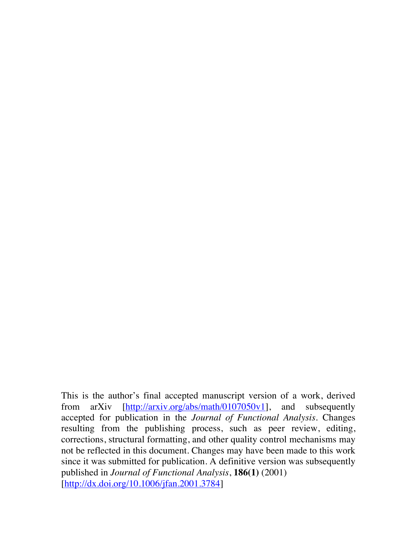This is the author's final accepted manuscript version of a work, derived from arXiv [http://arxiv.org/abs/math/0107050v1], and subsequently accepted for publication in the *Journal of Functional Analysis*. Changes resulting from the publishing process, such as peer review, editing, corrections, structural formatting, and other quality control mechanisms may not be reflected in this document. Changes may have been made to this work since it was submitted for publication. A definitive version was subsequently published in *Journal of Functional Analysis*, **186(1)** (2001) [http://dx.doi.org/10.1006/jfan.2001.3784]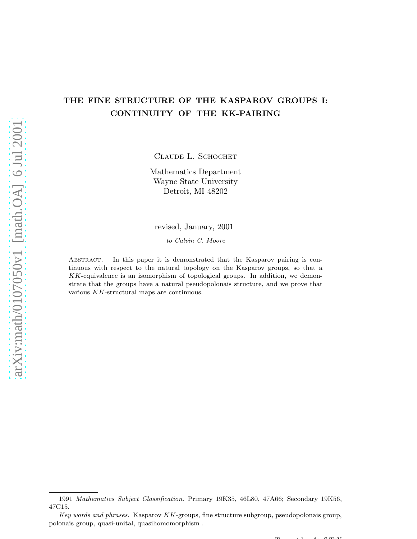# THE FINE STRUCTURE OF THE KASPAROV GROUPS I: CONTINUITY OF THE KK-PAIRING

CLAUDE L. SCHOCHET

Mathematics Department Wayne State University Detroit, MI 48202

#### revised, January, 2001

*to Calvin C. Moore*

Abstract. In this paper it is demonstrated that the Kasparov pairing is continuous with respect to the natural topology on the Kasparov groups, so that a KK-equivalence is an isomorphism of topological groups. In addition, we demonstrate that the groups have a natural pseudopolonais structure, and we prove that various KK-structural maps are continuous.

 $T$   $\left(1, 1, 4, 0, \ldots, N\right)$ 

<sup>1991</sup> *Mathematics Subject Classification*. Primary 19K35, 46L80, 47A66; Secondary 19K56, 47C15.

*Key words and phrases.* Kasparov KK-groups, fine structure subgroup, pseudopolonais group, polonais group, quasi-unital, quasihomomorphism .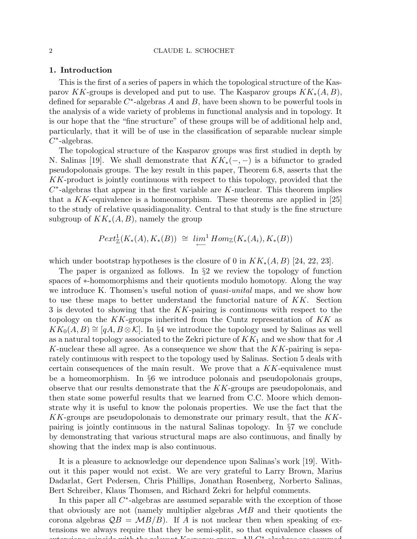#### 1. Introduction

This is the first of a series of papers in which the topological structure of the Kasparov KK-groups is developed and put to use. The Kasparov groups  $KK_*(A, B)$ , defined for separable  $C^*$ -algebras A and B, have been shown to be powerful tools in the analysis of a wide variety of problems in functional analysis and in topology. It is our hope that the "fine structure" of these groups will be of additional help and, particularly, that it will be of use in the classification of separable nuclear simple  $C^*$ -algebras.

The topological structure of the Kasparov groups was first studied in depth by N. Salinas [19]. We shall demonstrate that  $KK_*(-,-)$  is a bifunctor to graded pseudopolonais groups. The key result in this paper, Theorem 6.8, asserts that the KK-product is jointly continuous with respect to this topology, provided that the  $C^*$ -algebras that appear in the first variable are K-nuclear. This theorem implies that a  $KK$ -equivalence is a homeomorphism. These theorems are applied in [25] to the study of relative quasidiagonality. Central to that study is the fine structure subgroup of  $KK_*(A, B)$ , namely the group

$$
Pext_{\mathbb{Z}}^1(K_*(A), K_*(B)) \cong \lim_{\longleftarrow} Hom_{\mathbb{Z}}(K_*(A_i), K_*(B))
$$

which under bootstrap hypotheses is the closure of 0 in  $KK_*(A, B)$  [24, 22, 23].

The paper is organized as follows. In §2 we review the topology of function spaces of ∗-homomorphisms and their quotients modulo homotopy. Along the way we introduce K. Thomsen's useful notion of *quasi-unital* maps, and we show how to use these maps to better understand the functorial nature of  $KK$ . Section 3 is devoted to showing that the KK-pairing is continuous with respect to the topology on the  $KK$ -groups inherited from the Cuntz representation of  $KK$  as  $KK_0(A, B) \cong [qA, B \otimes \mathcal{K}]$ . In §4 we introduce the topology used by Salinas as well as a natural topology associated to the Zekri picture of  $KK_1$  and we show that for A K-nuclear these all agree. As a consequence we show that the  $KK$ -pairing is separately continuous with respect to the topology used by Salinas. Section 5 deals with certain consequences of the main result. We prove that a KK-equivalence must be a homeomorphism. In §6 we introduce polonais and pseudopolonais groups, observe that our results demonstrate that the KK-groups are pseudopolonais, and then state some powerful results that we learned from C.C. Moore which demonstrate why it is useful to know the polonais properties. We use the fact that the KK-groups are pseudopolonais to demonstrate our primary result, that the KKpairing is jointly continuous in the natural Salinas topology. In §7 we conclude by demonstrating that various structural maps are also continuous, and finally by showing that the index map is also continuous.

It is a pleasure to acknowledge our dependence upon Salinas's work [19]. Without it this paper would not exist. We are very grateful to Larry Brown, Marius Dadarlat, Gert Pedersen, Chris Phillips, Jonathan Rosenberg, Norberto Salinas, Bert Schreiber, Klaus Thomsen, and Richard Zekri for helpful comments.

In this paper all  $C^*$ -algebras are assumed separable with the exception of those that obviously are not (namely multiplier algebras  $\mathcal{M}B$  and their quotients the corona algebras  $\mathcal{Q}B = \mathcal{M}B/B$ . If A is not nuclear then when speaking of extensions we always require that they be semi-split, so that equivalence classes of extensions coincide with the relevant Kasparov group. All Coincide  $\mathbf{K}$  all  $\mathbf{K}$  $\lambda$  11  $\bigcap$  \* 1  $\ldots$  1 -algebras are assumed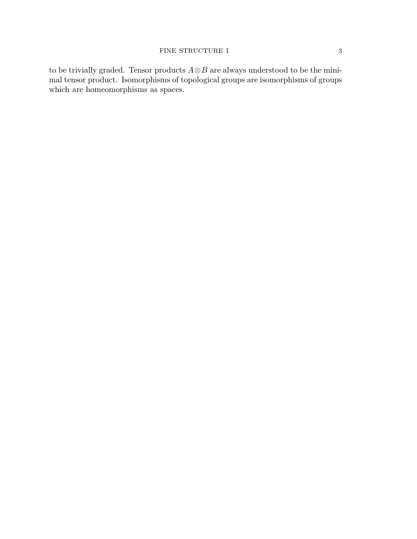to be trivially graded. Tensor products  $A \otimes B$  are always understood to be the minimal tensor product. Isomorphisms of topological groups are isomorphisms of groups which are homeomorphisms as spaces.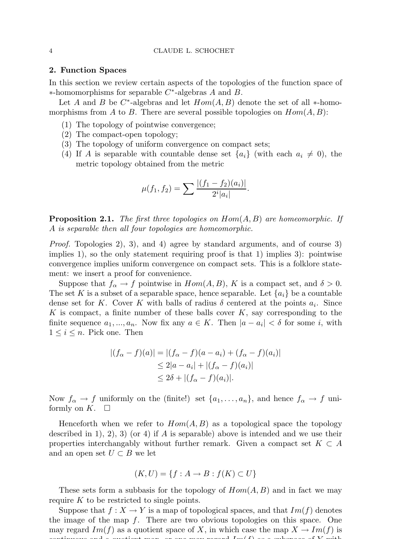#### 2. Function Spaces

In this section we review certain aspects of the topologies of the function space of  $*$ -homomorphisms for separable  $C^*$ -algebras A and B.

Let A and B be  $C^*$ -algebras and let  $Hom(A, B)$  denote the set of all \*-homomorphisms from A to B. There are several possible topologies on  $Hom(A, B)$ :

- (1) The topology of pointwise convergence;
- (2) The compact-open topology;
- (3) The topology of uniform convergence on compact sets;
- (4) If A is separable with countable dense set  $\{a_i\}$  (with each  $a_i \neq 0$ ), the metric topology obtained from the metric

$$
\mu(f_1, f_2) = \sum \frac{|(f_1 - f_2)(a_i)|}{2^i |a_i|}.
$$

Proposition 2.1. *The first three topologies on* Hom(A, B) *are homeomorphic. If* A *is separable then all four topologies are homeomorphic.*

*Proof.* Topologies 2), 3), and 4) agree by standard arguments, and of course 3) implies 1), so the only statement requiring proof is that 1) implies 3): pointwise convergence implies uniform convergence on compact sets. This is a folklore statement: we insert a proof for convenience.

Suppose that  $f_{\alpha} \to f$  pointwise in  $Hom(A, B)$ , K is a compact set, and  $\delta > 0$ . The set K is a subset of a separable space, hence separable. Let  $\{a_i\}$  be a countable dense set for K. Cover K with balls of radius  $\delta$  centered at the points  $a_i$ . Since K is compact, a finite number of these balls cover  $K$ , say corresponding to the finite sequence  $a_1, ..., a_n$ . Now fix any  $a \in K$ . Then  $|a - a_i| < \delta$  for some *i*, with  $1 \leq i \leq n$ . Pick one. Then

$$
|(f_{\alpha} - f)(a)| = |(f_{\alpha} - f)(a - a_i) + (f_{\alpha} - f)(a_i)|
$$
  
\n
$$
\leq 2|a - a_i| + |(f_{\alpha} - f)(a_i)|
$$
  
\n
$$
\leq 2\delta + |(f_{\alpha} - f)(a_i)|.
$$

Now  $f_{\alpha} \to f$  uniformly on the (finite!) set  $\{a_1, \ldots, a_n\}$ , and hence  $f_{\alpha} \to f$  uniformly on  $K$ .  $\square$ 

Henceforth when we refer to  $Hom(A, B)$  as a topological space the topology described in 1, 2, 3) (or 4) if A is separable) above is intended and we use their properties interchangably without further remark. Given a compact set  $K \subset A$ and an open set  $U \subset B$  we let

$$
(K, U) = \{ f : A \to B : f(K) \subset U \}
$$

These sets form a subbasis for the topology of  $Hom(A, B)$  and in fact we may require  $K$  to be restricted to single points.

Suppose that  $f: X \to Y$  is a map of topological spaces, and that  $Im(f)$  denotes the image of the map  $f$ . There are two obvious topologies on this space. One may regard  $Im(f)$  as a quotient space of X, in which case the map  $X \to Im(f)$  is continuous and a quotient map, or one map, or  $\mathbf{I}$  as  $\mathbf{I}$  as  $\mathbf{I}$  as a subspace of  $\mathbf{f}$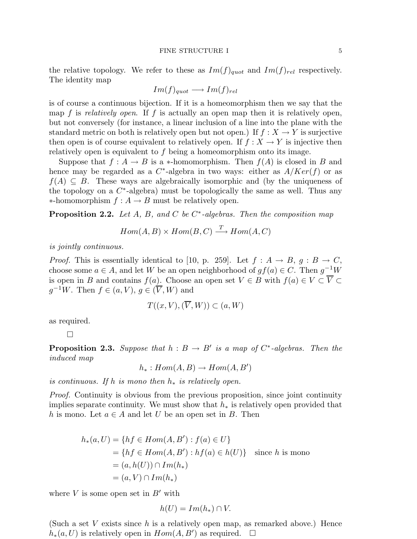#### FINE STRUCTURE I 5

the relative topology. We refer to these as  $Im(f)_{quot}$  and  $Im(f)_{rel}$  respectively. The identity map

$$
Im(f)_{quot} \longrightarrow Im(f)_{rel}
$$

is of course a continuous bijection. If it is a homeomorphism then we say that the map f is *relatively open*. If f is actually an open map then it is relatively open, but not conversely (for instance, a linear inclusion of a line into the plane with the standard metric on both is relatively open but not open.) If  $f : X \to Y$  is surjective then open is of course equivalent to relatively open. If  $f : X \to Y$  is injective then relatively open is equivalent to  $f$  being a homeomorphism onto its image.

Suppose that  $f : A \to B$  is a \*-homomorphism. Then  $f(A)$  is closed in B and hence may be regarded as a  $C^*$ -algebra in two ways: either as  $A/Ker(f)$  or as  $f(A) \subseteq B$ . These ways are algebraically isomorphic and (by the uniqueness of the topology on a  $C^*$ -algebra) must be topologically the same as well. Thus any  $\ast$ -homomorphism  $f : A \rightarrow B$  must be relatively open.

Proposition 2.2. *Let* A*,* B*, and* C *be* C ∗ *-algebras. Then the composition map*

$$
Hom(A, B) \times Hom(B, C) \xrightarrow{T} Hom(A, C)
$$

*is jointly continuous.*

*Proof.* This is essentially identical to [10, p. 259]. Let  $f : A \rightarrow B$ ,  $g : B \rightarrow C$ , choose some  $a \in A$ , and let W be an open neighborhood of  $gf(a) \in C$ . Then  $g^{-1}W$ is open in B and contains  $f(a)$ . Choose an open set  $V \in B$  with  $f(a) \in V \subset \overline{V} \subset \overline{V}$  $g^{-1}W$ . Then  $f \in (a, V), g \in (\overline{V}, W)$  and

$$
T((x, V), (\overline{V}, W)) \subset (a, W)
$$

as required.

 $\Box$ 

**Proposition 2.3.** Suppose that  $h : B \to B'$  is a map of  $C^*$ -algebras. Then the *induced map*

$$
h_*: Hom(A, B) \to Hom(A, B')
$$

*is continuous. If*  $h$  *is mono then*  $h_*$  *is relatively open.* 

*Proof.* Continuity is obvious from the previous proposition, since joint continuity implies separate continuity. We must show that  $h_*$  is relatively open provided that h is mono. Let  $a \in A$  and let U be an open set in B. Then

$$
h_*(a, U) = \{ hf \in Hom(A, B') : f(a) \in U \}
$$
  
=  $\{ hf \in Hom(A, B') : hf(a) \in h(U) \}$  since h is mono  
=  $(a, h(U)) \cap Im(h_*)$   
=  $(a, V) \cap Im(h_*)$ 

where  $V$  is some open set in  $B'$  with

$$
h(U) = Im(h_*) \cap V.
$$

(Such a set V exists since h is a relatively open map, as remarked above.) Hence  $h_*(a, U)$  is relatively open in  $Hom(A, B')$  as required.  $\square$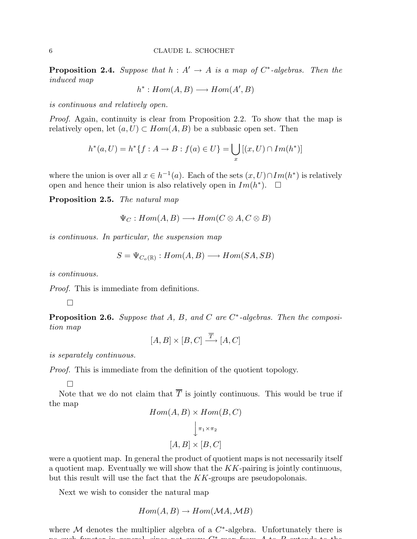**Proposition 2.4.** Suppose that  $h : A' \to A$  is a map of  $C^*$ -algebras. Then the *induced map*

$$
h^*: Hom(A, B) \longrightarrow Hom(A', B)
$$

*is continuous and relatively open.*

*Proof.* Again, continuity is clear from Proposition 2.2. To show that the map is relatively open, let  $(a, U) \subset Hom(A, B)$  be a subbasic open set. Then

$$
h^*(a, U) = h^*\{f : A \to B : f(a) \in U\} = \bigcup_x [(x, U) \cap Im(h^*)]
$$

where the union is over all  $x \in h^{-1}(a)$ . Each of the sets  $(x, U) \cap Im(h^*)$  is relatively open and hence their union is also relatively open in  $Im(h^*)$ .  $\Box$ 

Proposition 2.5. *The natural map*

$$
\Psi_C: Hom(A, B) \longrightarrow Hom(C \otimes A, C \otimes B)
$$

*is continuous. In particular, the suspension map*

$$
S = \Psi_{C_o(\mathbb{R})} : Hom(A, B) \longrightarrow Hom(SA, SB)
$$

*is continuous.*

*Proof.* This is immediate from definitions.

 $\Box$ 

Proposition 2.6. *Suppose that* A, B, and C are C<sup>\*</sup>-algebras. Then the composi*tion map*

$$
[A, B] \times [B, C] \xrightarrow{\overline{T}} [A, C]
$$

*is separately continuous.*

*Proof.* This is immediate from the definition of the quotient topology.

 $\Box$ 

Note that we do not claim that  $\overline{T}$  is jointly continuous. This would be true if the map  $Hom(A, B) \times Hom(B)$ 

$$
Hom(A, B) \times Hom(B, C)
$$

$$
\downarrow \pi_1 \times \pi_2
$$

$$
[A, B] \times [B, C]
$$

were a quotient map. In general the product of quotient maps is not necessarily itself a quotient map. Eventually we will show that the  $KK$ -pairing is jointly continuous, but this result will use the fact that the KK-groups are pseudopolonais.

Next we wish to consider the natural map

$$
Hom(A, B) \to Hom(\mathcal{MA}, \mathcal{MB})
$$

where  $M$  denotes the multiplier algebra of a  $C^*$ -algebra. Unfortunately there is no such functor in general, since not every C ∗  $\ldots$  from A to B extends to the total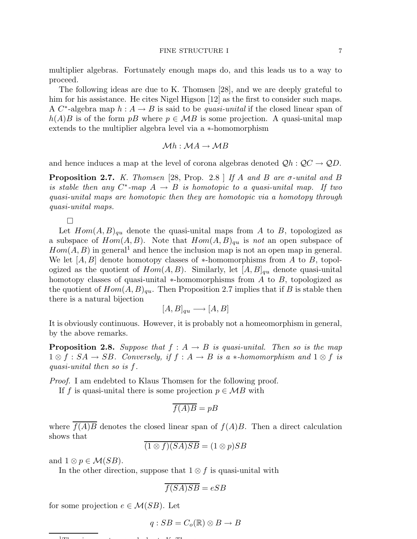multiplier algebras. Fortunately enough maps do, and this leads us to a way to proceed.

The following ideas are due to K. Thomsen [28], and we are deeply grateful to him for his assistance. He cites Nigel Higson [12] as the first to consider such maps. A  $C^*$ -algebra map  $h: A \to B$  is said to be *quasi-unital* if the closed linear span of  $h(A)B$  is of the form pB where  $p \in MB$  is some projection. A quasi-unital map extends to the multiplier algebra level via a ∗-homomorphism

$$
\mathcal{M}h: \mathcal{M}A \to \mathcal{M}B
$$

and hence induces a map at the level of corona algebras denoted  $\mathcal{Q}h : \mathcal{Q}C \to \mathcal{Q}D$ .

Proposition 2.7. *K. Thomsen* [28, Prop. 2.8 ] *If* A *and* B *are* σ*-unital and* B *is stable then any*  $C^*$ -map  $A \rightarrow B$  *is homotopic to a quasi-unital map. If two quasi-unital maps are homotopic then they are homotopic via a homotopy through quasi-unital maps.*

 $\Box$ 

Let  $Hom(A, B)_{qu}$  denote the quasi-unital maps from A to B, topologized as a subspace of  $Hom(A, B)$ . Note that  $Hom(A, B)_{qu}$  is *not* an open subspace of  $Hom(A, B)$  in general<sup>1</sup> and hence the inclusion map is not an open map in general. We let  $[A, B]$  denote homotopy classes of  $*$ -homomorphisms from A to B, topologized as the quotient of  $Hom(A, B)$ . Similarly, let  $[A, B]_{qu}$  denote quasi-unital homotopy classes of quasi-unital  $*$ -homomorphisms from A to B, topologized as the quotient of  $Hom(A, B)_{qu}$ . Then Proposition 2.7 implies that if B is stable then there is a natural bijection

$$
[A, B]_{qu} \longrightarrow [A, B]
$$

It is obviously continuous. However, it is probably not a homeomorphism in general, by the above remarks.

**Proposition 2.8.** Suppose that  $f : A \rightarrow B$  is quasi-unital. Then so is the map  $1 \otimes f : SA \to SB$ . Conversely, if  $f : A \to B$  is a  $\ast$ -homomorphism and  $1 \otimes f$  is *quasi-unital then so is* f*.*

*Proof.* I am endebted to Klaus Thomsen for the following proof.

If f is quasi-unital there is some projection  $p \in MB$  with

$$
\overline{f(A)B} = pB
$$

where  $\overline{f(A)B}$  denotes the closed linear span of  $f(A)B$ . Then a direct calculation shows that

$$
(1 \otimes f)(SA)SB = (1 \otimes p)SB
$$

and  $1 \otimes p \in \mathcal{M}(SB)$ .

In the other direction, suppose that  $1 \otimes f$  is quasi-unital with

$$
f(SA)SB = eSB
$$

for some projection  $e \in \mathcal{M}(SB)$ . Let

$$
q:SB=C_o(\mathbb{R})\otimes B\to B
$$

 $1$ mu $\cdot$  is a countereduced to  $1$  countereduced to  $K$  music  $K$ . Thomsen is a countereduced to  $K$ . Thomsen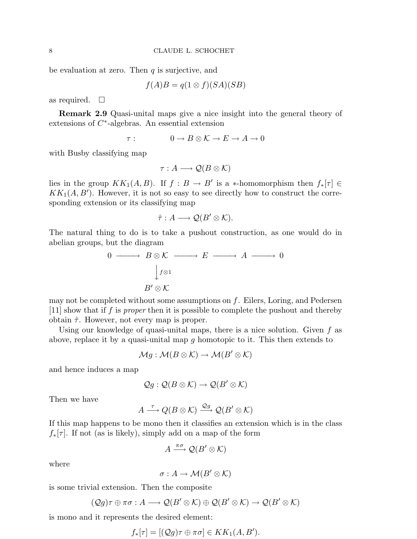be evaluation at zero. Then  $q$  is surjective, and

$$
f(A)B = q(1 \otimes f)(SA)(SB)
$$

as required.  $\square$ 

Remark 2.9 Quasi-unital maps give a nice insight into the general theory of extensions of  $C^*$ -algebras. An essential extension

$$
\tau: \qquad \qquad 0 \to B \otimes \mathcal{K} \to E \to A \to 0
$$

with Busby classifying map

$$
\tau:A\longrightarrow \mathcal{Q}(B\otimes \mathcal{K})
$$

lies in the group  $KK_1(A, B)$ . If  $f : B \to B'$  is a \*-homomorphism then  $f_*[\tau] \in$  $KK_1(A, B')$ . However, it is not so easy to see directly how to construct the corresponding extension or its classifying map

$$
\hat{\tau}: A \longrightarrow \mathcal{Q}(B' \otimes \mathcal{K}).
$$

The natural thing to do is to take a pushout construction, as one would do in abelian groups, but the diagram

$$
0 \longrightarrow B \otimes \mathcal{K} \longrightarrow E \longrightarrow A \longrightarrow 0
$$
  

$$
\downarrow f \otimes 1
$$
  

$$
B' \otimes \mathcal{K}
$$

may not be completed without some assumptions on  $f$ . Eilers, Loring, and Pedersen [11] show that if f is *proper* then it is possible to complete the pushout and thereby obtain  $\hat{\tau}$ . However, not every map is proper.

Using our knowledge of quasi-unital maps, there is a nice solution. Given  $f$  as above, replace it by a quasi-unital map q homotopic to it. This then extends to

$$
\mathcal{M}g:\mathcal{M}(B\otimes\mathcal{K})\to\mathcal{M}(B'\otimes\mathcal{K})
$$

and hence induces a map

$$
\mathcal{Q}g: \mathcal{Q}(B \otimes \mathcal{K}) \to \mathcal{Q}(B' \otimes \mathcal{K})
$$

Then we have

$$
A\stackrel{\tau}{\longrightarrow} Q(B\otimes \mathcal{K}) \stackrel{\mathcal{Q}g}{\longrightarrow} \mathcal{Q}(B'\otimes \mathcal{K})
$$

If this map happens to be mono then it classifies an extension which is in the class  $f_*[\tau]$ . If not (as is likely), simply add on a map of the form

$$
A \xrightarrow{\pi \sigma} \mathcal{Q}(B' \otimes \mathcal{K})
$$

where

$$
\sigma: A \to \mathcal{M}(B' \otimes \mathcal{K})
$$

is some trivial extension. Then the composite

$$
(Qg)\tau \oplus \pi\sigma : A \longrightarrow \mathcal{Q}(B' \otimes \mathcal{K}) \oplus \mathcal{Q}(B' \otimes \mathcal{K}) \longrightarrow \mathcal{Q}(B' \otimes \mathcal{K})
$$

is mono and it represents the desired element:

$$
f_*[\tau] = [(\mathcal{Q}g)\tau \oplus \pi\sigma] \in KK_1(A, B').
$$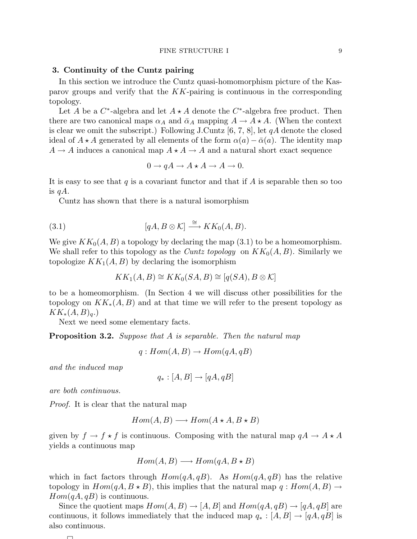#### 3. Continuity of the Cuntz pairing

In this section we introduce the Cuntz quasi-homomorphism picture of the Kasparov groups and verify that the  $KK$ -pairing is continuous in the corresponding topology.

Let A be a  $C^*$ -algebra and let  $A \star A$  denote the  $C^*$ -algebra free product. Then there are two canonical maps  $\alpha_A$  and  $\bar{\alpha}_A$  mapping  $A \to A \star A$ . (When the context is clear we omit the subscript.) Following J.Cuntz  $[6, 7, 8]$ , let  $qA$  denote the closed ideal of  $A \star A$  generated by all elements of the form  $\alpha(a) - \bar{\alpha}(a)$ . The identity map  $A \rightarrow A$  induces a canonical map  $A \star A \rightarrow A$  and a natural short exact sequence

$$
0 \to qA \to A \star A \to A \to 0.
$$

It is easy to see that q is a covariant functor and that if A is separable then so too is  $qA$ .

Cuntz has shown that there is a natural isomorphism

(3.1) 
$$
[qA, B \otimes \mathcal{K}] \stackrel{\cong}{\longrightarrow} KK_0(A, B).
$$

We give  $KK_0(A, B)$  a topology by declaring the map (3.1) to be a homeomorphism. We shall refer to this topology as the *Cuntz topology* on  $KK_0(A, B)$ . Similarly we topologize  $KK_1(A, B)$  by declaring the isomorphism

$$
KK_1(A, B) \cong KK_0(SA, B) \cong [q(SA), B \otimes \mathcal{K}]
$$

to be a homeomorphism. (In Section 4 we will discuss other possibilities for the topology on  $KK_*(A, B)$  and at that time we will refer to the present topology as  $KK_*(A, B)_q$ .)

Next we need some elementary facts.

Proposition 3.2. *Suppose that* A *is separable. Then the natural map*

$$
q: Hom(A, B) \to Hom(qA, qB)
$$

*and the induced map*

$$
q_*:[A,B]\to[qA,qB]
$$

*are both continuous.*

*Proof.* It is clear that the natural map

$$
Hom(A, B) \longrightarrow Hom(A \star A, B \star B)
$$

given by  $f \to f \star f$  is continuous. Composing with the natural map  $qA \to A \star A$ yields a continuous map

$$
Hom(A, B) \longrightarrow Hom(qA, B \star B)
$$

which in fact factors through  $Hom(qA, qB)$ . As  $Hom(qA, qB)$  has the relative topology in  $Hom(qA, B \star B)$ , this implies that the natural map  $q : Hom(A, B) \rightarrow$  $Hom(qA, qB)$  is continuous.

Since the quotient maps  $Hom(A, B) \to [A, B]$  and  $Hom(qA, qB) \to [qA, qB]$  are continuous, it follows immediately that the induced map  $q_* : [A, B] \to [qA, qB]$  is also continuous.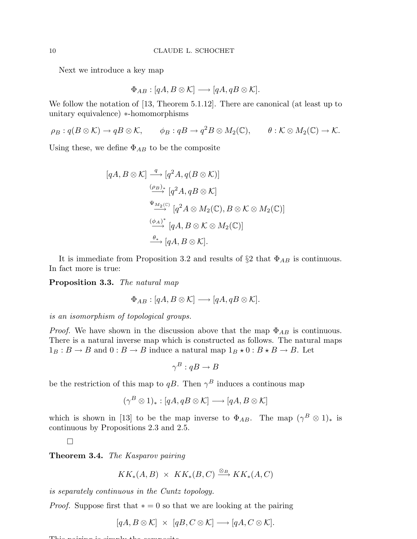Next we introduce a key map

$$
\Phi_{AB}: [qA, B \otimes \mathcal{K}] \longrightarrow [qA, qB \otimes \mathcal{K}].
$$

We follow the notation of [13, Theorem 5.1.12]. There are canonical (at least up to unitary equivalence) ∗-homomorphisms

 $\rho_B: q(B\otimes \mathcal{K})\to qB\otimes \mathcal{K}, \qquad \phi_B: qB\to q^2B\otimes M_2(\mathbb{C}), \qquad \theta: \mathcal{K}\otimes M_2(\mathbb{C})\to \mathcal{K}.$ 

Using these, we define  $\Phi_{AB}$  to be the composite

$$
[qA, B \otimes \mathcal{K}] \xrightarrow{q} [q^2A, q(B \otimes \mathcal{K})]
$$
  
\n
$$
\xrightarrow{(\rho_B)_*} [q^2A, qB \otimes \mathcal{K}]
$$
  
\n
$$
\xrightarrow{\Psi_{M_2(\mathbb{C})}} [q^2A \otimes M_2(\mathbb{C}), B \otimes \mathcal{K} \otimes M_2(\mathbb{C})]
$$
  
\n
$$
\xrightarrow{(\phi_A)^*} [qA, B \otimes \mathcal{K} \otimes M_2(\mathbb{C})]
$$
  
\n
$$
\xrightarrow{\theta_*} [qA, B \otimes \mathcal{K}].
$$

It is immediate from Proposition 3.2 and results of  $\S$ 2 that  $\Phi_{AB}$  is continuous. In fact more is true:

Proposition 3.3. *The natural map*

$$
\Phi_{AB}:[qA,B\otimes\mathcal{K}]\longrightarrow[qA,qB\otimes\mathcal{K}].
$$

*is an isomorphism of topological groups.*

*Proof.* We have shown in the discussion above that the map  $\Phi_{AB}$  is continuous. There is a natural inverse map which is constructed as follows. The natural maps  $1_B : B \to B$  and  $0 : B \to B$  induce a natural map  $1_B \star 0 : B \star B \to B$ . Let

$$
\gamma^B:qB\to B
$$

be the restriction of this map to qB. Then  $\gamma^B$  induces a continuous map

$$
(\gamma^B \otimes 1)_*: [qA, qB \otimes \mathcal{K}] \longrightarrow [qA, B \otimes \mathcal{K}]
$$

which is shown in [13] to be the map inverse to  $\Phi_{AB}$ . The map  $(\gamma^B \otimes 1)_*$  is continuous by Propositions 2.3 and 2.5.

 $\Box$ 

Theorem 3.4. *The Kasparov pairing*

$$
KK_*(A, B) \times KK_*(B, C) \xrightarrow{\otimes_B} KK_*(A, C)
$$

*is separately continuous in the Cuntz topology.*

*Proof.* Suppose first that  $* = 0$  so that we are looking at the pairing

 $[qA, B \otimes \mathcal{K}] \times [qB, C \otimes \mathcal{K}] \longrightarrow [qA, C \otimes \mathcal{K}].$ 

This pairing is simply the composite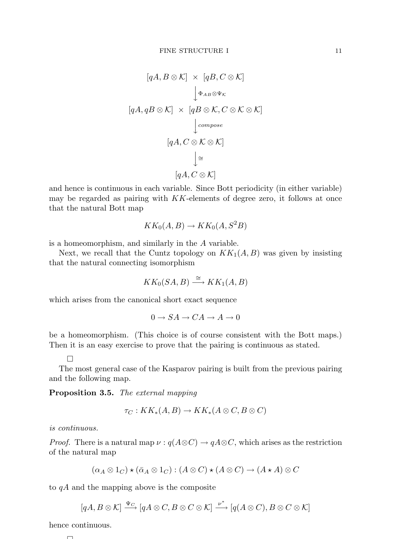$$
[qA, B \otimes \mathcal{K}] \times [qB, C \otimes \mathcal{K}]
$$
  

$$
\downarrow \Phi_{AB} \otimes \Psi_{\mathcal{K}}
$$
  

$$
[qA, qB \otimes \mathcal{K}] \times [qB \otimes \mathcal{K}, C \otimes \mathcal{K} \otimes \mathcal{K}]
$$
  

$$
\downarrow compose
$$
  

$$
[qA, C \otimes \mathcal{K} \otimes \mathcal{K}]
$$
  

$$
\downarrow \cong
$$
  

$$
[qA, C \otimes \mathcal{K}]
$$

and hence is continuous in each variable. Since Bott periodicity (in either variable) may be regarded as pairing with KK-elements of degree zero, it follows at once that the natural Bott map

$$
KK_0(A, B) \to KK_0(A, S^2B)
$$

is a homeomorphism, and similarly in the A variable.

Next, we recall that the Cuntz topology on  $KK_1(A, B)$  was given by insisting that the natural connecting isomorphism

$$
KK_0(SA, B) \stackrel{\cong}{\longrightarrow} KK_1(A, B)
$$

which arises from the canonical short exact sequence

$$
0 \to SA \to CA \to A \to 0
$$

be a homeomorphism. (This choice is of course consistent with the Bott maps.) Then it is an easy exercise to prove that the pairing is continuous as stated.

 $\Box$ 

The most general case of the Kasparov pairing is built from the previous pairing and the following map.

Proposition 3.5. *The external mapping*

$$
\tau_C: KK_*(A, B) \to KK_*(A \otimes C, B \otimes C)
$$

*is continuous.*

*Proof.* There is a natural map  $\nu : q(A \otimes C) \to qA \otimes C$ , which arises as the restriction of the natural map

$$
(\alpha_A \otimes 1_C) \star (\bar{\alpha}_A \otimes 1_C) : (A \otimes C) \star (A \otimes C) \to (A \star A) \otimes C
$$

to qA and the mapping above is the composite

$$
[qA, B \otimes \mathcal{K}] \xrightarrow{\Psi_C} [qA \otimes C, B \otimes C \otimes \mathcal{K}] \xrightarrow{\nu^*} [q(A \otimes C), B \otimes C \otimes \mathcal{K}]
$$

hence continuous.

$$
\Box
$$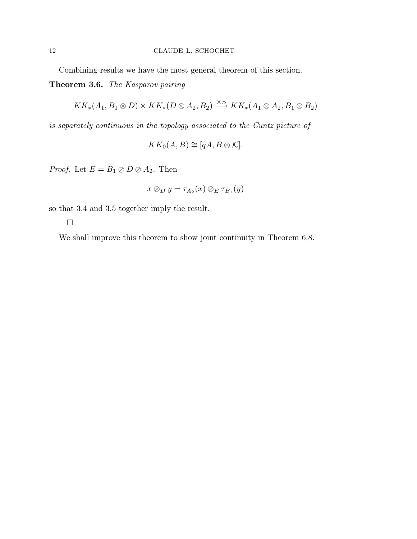Combining results we have the most general theorem of this section.

Theorem 3.6. *The Kasparov pairing*

$$
KK_*(A_1, B_1 \otimes D) \times KK_*(D \otimes A_2, B_2) \xrightarrow{\otimes_D} KK_*(A_1 \otimes A_2, B_1 \otimes B_2)
$$

*is separately continuous in the topology associated to the Cuntz picture of*

 $KK_0(A, B) \cong [qA, B \otimes \mathcal{K}].$ 

*Proof.* Let  $E = B_1 \otimes D \otimes A_2$ . Then

$$
x\otimes_D y=\tau_{A_2}(x)\otimes_E\tau_{B_1}(y)
$$

so that 3.4 and 3.5 together imply the result.

 $\Box$ 

We shall improve this theorem to show joint continuity in Theorem 6.8.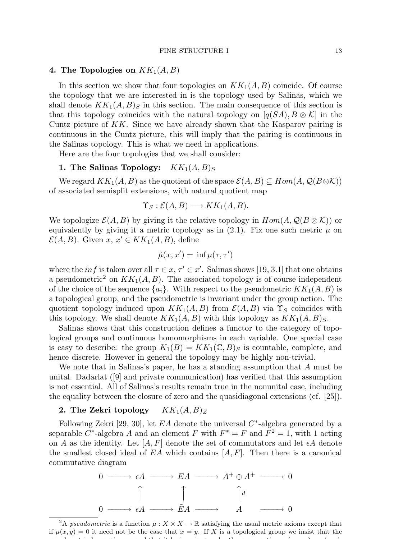## 4. The Topologies on  $KK_1(A, B)$

In this section we show that four topologies on  $KK_1(A, B)$  coincide. Of course the topology that we are interested in is the topology used by Salinas, which we shall denote  $KK_1(A, B)$ <sub>S</sub> in this section. The main consequence of this section is that this topology coincides with the natural topology on  $|q(SA), B \otimes \mathcal{K}|$  in the Cuntz picture of  $KK$ . Since we have already shown that the Kasparov pairing is continuous in the Cuntz picture, this will imply that the pairing is continuous in the Salinas topology. This is what we need in applications.

Here are the four topologies that we shall consider:

### 1. The Salinas Topology:  $KK_1(A, B)_S$

We regard  $KK_1(A, B)$  as the quotient of the space  $\mathcal{E}(A, B) \subseteq Hom(A, \mathcal{Q}(B \otimes \mathcal{K}))$ of associated semisplit extensions, with natural quotient map

$$
\Upsilon_S : \mathcal{E}(A, B) \longrightarrow KK_1(A, B).
$$

We topologize  $\mathcal{E}(A, B)$  by giving it the relative topology in  $Hom(A, \mathcal{Q}(B \otimes \mathcal{K}))$  or equivalently by giving it a metric topology as in  $(2.1)$ . Fix one such metric  $\mu$  on  $\mathcal{E}(A, B)$ . Given  $x, x' \in KK_1(A, B)$ , define

$$
\hat{\mu}(x, x') = \inf \mu(\tau, \tau')
$$

where the *inf* is taken over all  $\tau \in x$ ,  $\tau' \in x'$ . Salinas shows [19, 3.1] that one obtains a pseudometric<sup>2</sup> on  $KK_1(A, B)$ . The associated topology is of course independent of the choice of the sequence  $\{a_i\}$ . With respect to the pseudometric  $KK_1(A, B)$  is a topological group, and the pseudometric is invariant under the group action. The quotient topology induced upon  $KK_1(A, B)$  from  $\mathcal{E}(A, B)$  via  $\Upsilon_S$  coincides with this topology. We shall denote  $KK_1(A, B)$  with this topology as  $KK_1(A, B)_S$ .

Salinas shows that this construction defines a functor to the category of topological groups and continuous homomorphisms in each variable. One special case is easy to describe: the group  $K_1(B) = KK_1(\mathbb{C}, B)_S$  is countable, complete, and hence discrete. However in general the topology may be highly non-trivial.

We note that in Salinas's paper, he has a standing assumption that A must be unital. Dadarlat ([9] and private communication) has verified that this assumption is not essential. All of Salinas's results remain true in the nonunital case, including the equality between the closure of zero and the quasidiagonal extensions (cf. [25]).

## 2. The Zekri topology  $KK_1(A, B)_Z$

Following Zekri [29, 30], let  $EA$  denote the universal  $C^*$ -algebra generated by a separable C<sup>\*</sup>-algebra A and an element F with  $F^* = F$  and  $F^2 = 1$ , with 1 acting on A as the identity. Let  $[A, F]$  denote the set of commutators and let  $\epsilon A$  denote the smallest closed ideal of  $EA$  which contains  $[A, F]$ . Then there is a canonical commutative diagram



<sup>&</sup>lt;sup>2</sup>A *pseudometric* is a function  $\mu$  :  $X \times X \to \mathbb{R}$  satisfying the usual metric axioms except that if  $\mu(x, y) = 0$  it need not be the case that  $x = y$ . If X is a topological group we insist that the pseudometric be continuous and that it be invariant under the group action: µ(xz, yz) = µ(x, y).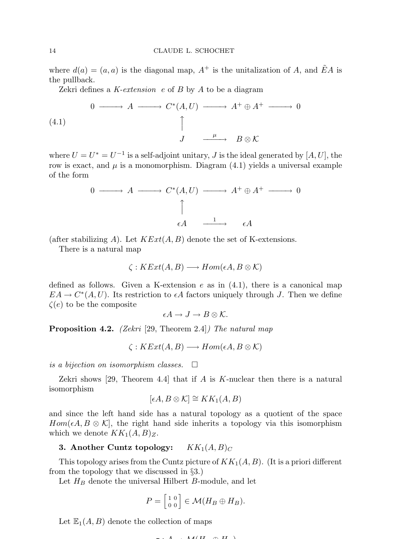where  $d(a) = (a, a)$  is the diagonal map,  $A^+$  is the unitalization of A, and  $\tilde{E}A$  is the pullback.

Zekri defines a *K-extension* e of B by A to be a diagram

(4.1) 
$$
0 \longrightarrow A \longrightarrow C^*(A, U) \longrightarrow A^+ \oplus A^+ \longrightarrow 0
$$

$$
\uparrow
$$

$$
J \longrightarrow B \otimes \mathcal{K}
$$

where  $U = U^* = U^{-1}$  is a self-adjoint unitary, J is the ideal generated by  $[A, U]$ , the row is exact, and  $\mu$  is a monomorphism. Diagram (4.1) yields a universal example of the form

$$
0 \longrightarrow A \longrightarrow C^*(A, U) \longrightarrow A^+ \oplus A^+ \longrightarrow 0
$$
  
\n
$$
\uparrow
$$
  
\n
$$
\epsilon A \longrightarrow A
$$

(after stabilizing A). Let  $KExt(A, B)$  denote the set of K-extensions.

There is a natural map

$$
\zeta: KExt(A, B) \longrightarrow Hom(\epsilon A, B \otimes \mathcal{K})
$$

defined as follows. Given a K-extension  $e$  as in  $(4.1)$ , there is a canonical map  $EA \to C^*(A, U)$ . Its restriction to  $\epsilon A$  factors uniquely through J. Then we define  $\zeta(e)$  to be the composite

$$
\epsilon A \to J \to B \otimes \mathcal{K}.
$$

Proposition 4.2. *(Zekri* [29, Theorem 2.4]*) The natural map*

$$
\zeta: KExt(A, B) \longrightarrow Hom(\epsilon A, B \otimes \mathcal{K})
$$

*is a bijection on isomorphism classes.*

Zekri shows [29, Theorem 4.4] that if A is K-nuclear then there is a natural isomorphism

$$
[\epsilon A, B \otimes \mathcal{K}] \cong KK_1(A, B)
$$

and since the left hand side has a natural topology as a quotient of the space  $Hom(\epsilon A, B \otimes \mathcal{K})$ , the right hand side inherits a topology via this isomorphism which we denote  $KK_1(A, B)_Z$ .

## **3.** Another Cuntz topology:  $KK_1(A, B)_C$

This topology arises from the Cuntz picture of  $KK_1(A, B)$ . (It is a priori different from the topology that we discussed in §3.)

Let  $H_B$  denote the universal Hilbert B-module, and let

$$
P = \begin{bmatrix} 1 & 0 \\ 0 & 0 \end{bmatrix} \in \mathcal{M}(H_B \oplus H_B).
$$

Let  $\mathbb{E}_1(A, B)$  denote the collection of maps

$$
-. A . M/II \quad \wedge II
$$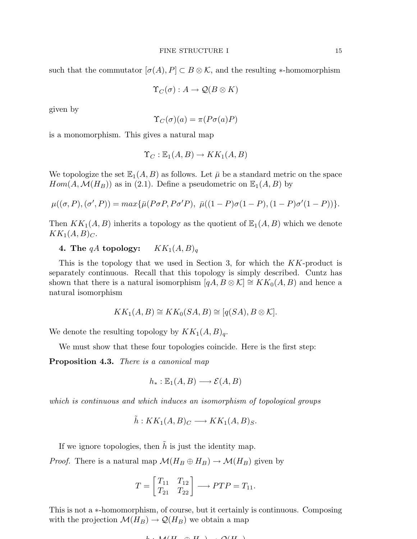such that the commutator  $[\sigma(A), P] \subset B \otimes \mathcal{K}$ , and the resulting \*-homomorphism

$$
\Upsilon_C(\sigma):A\to\mathcal{Q}(B\otimes K)
$$

given by

$$
\Upsilon_C(\sigma)(a) = \pi(P\sigma(a)P)
$$

is a monomorphism. This gives a natural map

$$
\Upsilon_C : \mathbb{E}_1(A, B) \to KK_1(A, B)
$$

We topologize the set  $\mathbb{E}_1(A, B)$  as follows. Let  $\overline{\mu}$  be a standard metric on the space  $Hom(A, \mathcal{M}(H_B))$  as in (2.1). Define a pseudometric on  $\mathbb{E}_1(A, B)$  by

$$
\mu((\sigma, P), (\sigma', P)) = max\{\bar{\mu}(P\sigma P, P\sigma' P), \ \bar{\mu}((1 - P)\sigma(1 - P), (1 - P)\sigma'(1 - P))\}.
$$

Then  $KK_1(A, B)$  inherits a topology as the quotient of  $\mathbb{E}_1(A, B)$  which we denote  $KK_1(A, B)_C$ .

## 4. The  $qA$  topology:  $KK_1(A, B)_q$

This is the topology that we used in Section 3, for which the KK-product is separately continuous. Recall that this topology is simply described. Cuntz has shown that there is a natural isomorphism  $[qA, B \otimes \mathcal{K}] \cong KK_0(A, B)$  and hence a natural isomorphism

$$
KK_1(A, B) \cong KK_0(SA, B) \cong [q(SA), B \otimes \mathcal{K}].
$$

We denote the resulting topology by  $KK_1(A, B)<sub>q</sub>$ .

We must show that these four topologies coincide. Here is the first step:

Proposition 4.3. *There is a canonical map*

$$
h_* : \mathbb{E}_1(A, B) \longrightarrow \mathcal{E}(A, B)
$$

*which is continuous and which induces an isomorphism of topological groups*

$$
\tilde{h}: KK_1(A, B)_C \longrightarrow KK_1(A, B)_S.
$$

If we ignore topologies, then  $h$  is just the identity map.

*Proof.* There is a natural map  $\mathcal{M}(H_B \oplus H_B) \to \mathcal{M}(H_B)$  given by

$$
T = \begin{bmatrix} T_{11} & T_{12} \\ T_{21} & T_{22} \end{bmatrix} \longrightarrow PTP = T_{11}.
$$

This is not a ∗-homomorphism, of course, but it certainly is continuous. Composing with the projection  $\mathcal{M}(H_B) \to \mathcal{Q}(H_B)$  we obtain a map

$$
L \cdot M(H \cap H) \cdot \Omega(H)
$$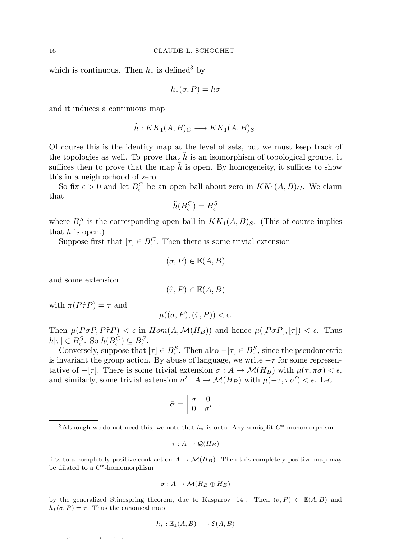which is continuous. Then  $h_*$  is defined<sup>3</sup> by

$$
h_*(\sigma, P) = h\sigma
$$

and it induces a continuous map

$$
\tilde{h}: KK_1(A, B)_C \longrightarrow KK_1(A, B)_S.
$$

Of course this is the identity map at the level of sets, but we must keep track of the topologies as well. To prove that  $\hat{h}$  is an isomorphism of topological groups, it suffices then to prove that the map  $\tilde{h}$  is open. By homogeneity, it suffices to show this in a neighborhood of zero.

So fix  $\epsilon > 0$  and let  $B_{\epsilon}^C$  be an open ball about zero in  $KK_1(A, B)_C$ . We claim that

$$
\tilde{h}(B_\epsilon^C)=B_\epsilon^S
$$

where  $B_{\epsilon}^{S}$  is the corresponding open ball in  $KK_1(A, B)_{S}$ . (This of course implies that  $h$  is open.)

Suppose first that  $[\tau] \in B_{\epsilon}^C$ . Then there is some trivial extension

$$
(\sigma, P) \in \mathbb{E}(A, B)
$$

and some extension

$$
(\hat{\tau}, P) \in \mathbb{E}(A, B)
$$

with  $\pi(P\hat{\tau}P) = \tau$  and

$$
\mu((\sigma, P), (\hat{\tau}, P)) < \epsilon.
$$

Then  $\bar{\mu}(P\sigma P, P\hat{\tau}P) < \epsilon$  in  $Hom(A, \mathcal{M}(H_B))$  and hence  $\mu([P\sigma P], [\tau]) < \epsilon$ . Thus  $\tilde{h}[\tau] \in B_{\epsilon}^S$ . So  $\tilde{h}(B_{\epsilon}^C) \subseteq B_{\epsilon}^S$ .

Conversely, suppose that  $[\tau] \in B_{\epsilon}^S$ . Then also  $-[\tau] \in B_{\epsilon}^S$ , since the pseudometric is invariant the group action. By abuse of language, we write  $-\tau$  for some representative of  $-[\tau]$ . There is some trivial extension  $\sigma : A \to \mathcal{M}(H_B)$  with  $\mu(\tau, \pi \sigma) < \epsilon$ , and similarly, some trivial extension  $\sigma': A \to \mathcal{M}(H_B)$  with  $\mu(-\tau, \pi\sigma') < \epsilon$ . Let

$$
\bar{\sigma} = \begin{bmatrix} \sigma & 0 \\ 0 & \sigma' \end{bmatrix}.
$$

$$
\tau:A\to \mathcal{Q}(H_B)
$$

lifts to a completely positive contraction  $A \to \mathcal{M}(H_B)$ . Then this completely positive map may be dilated to a  $C^*$ -homomorphism

$$
\sigma: A \to \mathcal{M}(H_B \oplus H_B)
$$

by the generalized Stinespring theorem, due to Kasparov [14]. Then  $(\sigma, P) \in \mathbb{E}(A, B)$  and  $h_*(\sigma, P) = \tau$ . Thus the canonical map

$$
h_* : \mathbb{E}_1(A, B) \longrightarrow \mathcal{E}(A, B)
$$

is continuous and surjective,

<sup>&</sup>lt;sup>3</sup>Although we do not need this, we note that  $h_*$  is onto. Any semisplit  $C^*$ -monomorphism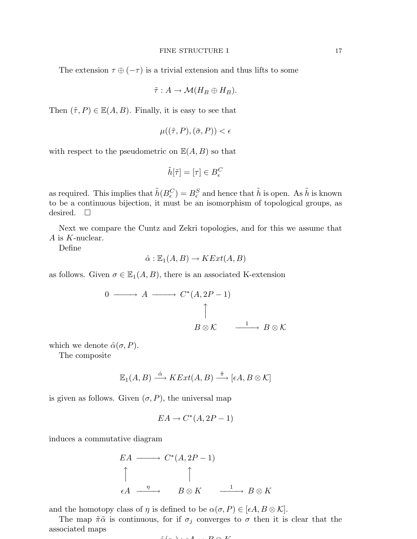$$
\tilde{\tau}: A \to \mathcal{M}(H_B \oplus H_B).
$$

Then  $(\tilde{\tau}, P) \in \mathbb{E}(A, B)$ . Finally, it is easy to see that

$$
\mu((\tilde{\tau}, P), (\bar{\sigma}, P)) < \epsilon
$$

with respect to the pseudometric on  $\mathbb{E}(A, B)$  so that

$$
\tilde{h}[\tilde{\tau}]=[\tau]\in B_{\epsilon}^C
$$

as required. This implies that  $\tilde{h}(B_{\epsilon}^C) = B_{\epsilon}^S$  and hence that  $\tilde{h}$  is open. As  $\tilde{h}$  is known to be a continuous bijection, it must be an isomorphism of topological groups, as desired.  $\square$ 

Next we compare the Cuntz and Zekri topologies, and for this we assume that A is K-nuclear.

Define

$$
\hat{\alpha} : \mathbb{E}_1(A, B) \to KExt(A, B)
$$

as follows. Given  $\sigma \in \mathbb{E}_1(A, B)$ , there is an associated K-extension

$$
\begin{array}{cccc}\n0 & \longrightarrow & A & \longrightarrow & C^*(A, 2P - 1) \\
 & & & \uparrow & & \\
 & & B \otimes \mathcal{K} & \xrightarrow{\quad 1 \quad} & B \otimes \mathcal{K}\n\end{array}
$$

which we denote  $\hat{\alpha}(\sigma, P)$ .

The composite

$$
\mathbb{E}_1(A, B) \stackrel{\hat{\alpha}}{\longrightarrow} KExt(A, B) \stackrel{\tilde{\pi}}{\longrightarrow} [\epsilon A, B \otimes \mathcal{K}]
$$

is given as follows. Given  $(\sigma, P)$ , the universal map

$$
EA \to C^*(A, 2P - 1)
$$

induces a commutative diagram

$$
EA \longrightarrow C^*(A, 2P - 1)
$$
  
\n
$$
\uparrow
$$
  
\n
$$
\varepsilon A \xrightarrow{\eta} B \otimes K \xrightarrow{\qquad 1} B \otimes K
$$

and the homotopy class of  $\eta$  is defined to be  $\alpha(\sigma, P) \in [\epsilon A, B \otimes \mathcal{K}].$ 

The map  $\tilde{\pi} \tilde{\alpha}$  is continuous, for if  $\sigma_j$  converges to  $\sigma$  then it is clear that the associated maps

$$
\hat{a}(a) \cdot A \cdot D \otimes V
$$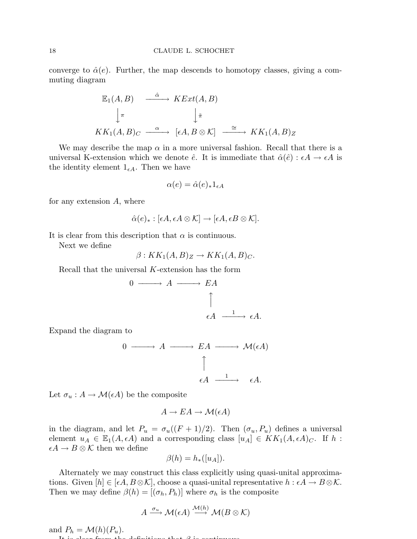converge to  $\hat{\alpha}(e)$ . Further, the map descends to homotopy classes, giving a commuting diagram

$$
\begin{array}{ccc}\n\mathbb{E}_1(A, B) & \xrightarrow{\hat{\alpha}} & KExt(A, B) \\
\downarrow \pi & & \downarrow \tilde{\pi} \\
KK_1(A, B)_C & \xrightarrow{\alpha} & [\epsilon A, B \otimes \mathcal{K}] & \xrightarrow{\cong} & KK_1(A, B)_Z\n\end{array}
$$

We may describe the map  $\alpha$  in a more universal fashion. Recall that there is a universal K-extension which we denote  $\hat{e}$ . It is immediate that  $\hat{\alpha}(\hat{e}) : \epsilon A \to \epsilon A$  is the identity element  $1_{\epsilon A}$ . Then we have

$$
\alpha(e) = \hat{\alpha}(e)_{*} 1_{\epsilon A}
$$

for any extension  $A$ , where

$$
\hat{\alpha}(e)_* : [\epsilon A, \epsilon A \otimes \mathcal{K}] \to [\epsilon A, \epsilon B \otimes \mathcal{K}].
$$

It is clear from this description that  $\alpha$  is continuous.

Next we define

$$
\beta: KK_1(A, B)_Z \to KK_1(A, B)_C.
$$

Recall that the universal K-extension has the form

$$
0 \longrightarrow A \longrightarrow EA
$$
  

$$
\uparrow
$$
  

$$
\epsilon A \xrightarrow{1} \epsilon A.
$$

Expand the diagram to

$$
0 \longrightarrow A \longrightarrow EA \longrightarrow \mathcal{M}(\epsilon A)
$$
  

$$
\uparrow
$$
  

$$
\epsilon A \longrightarrow \epsilon A.
$$

Let  $\sigma_u : A \to \mathcal{M}(\epsilon A)$  be the composite

$$
A \to EA \to \mathcal{M}(\epsilon A)
$$

in the diagram, and let  $P_u = \sigma_u((F+1)/2)$ . Then  $(\sigma_u, P_u)$  defines a universal element  $u_A \in \mathbb{E}_1(A, \epsilon A)$  and a corresponding class  $[u_A] \in KK_1(A, \epsilon A)_C$ . If h:  $\epsilon A \to B \otimes \mathcal{K}$  then we define

$$
\beta(h) = h_*([u_A]).
$$

Alternately we may construct this class explicitly using quasi-unital approximations. Given  $[h] \in [\epsilon A, B \otimes \mathcal{K}]$ , choose a quasi-unital representative  $h : \epsilon A \to B \otimes \mathcal{K}$ . Then we may define  $\beta(h) = [(\sigma_h, P_h)]$  where  $\sigma_h$  is the composite

$$
A \xrightarrow{\sigma_u} \mathcal{M}(\epsilon A) \xrightarrow{\mathcal{M}(h)} \mathcal{M}(B \otimes \mathcal{K})
$$

and  $P_h = \mathcal{M}(h)(P_u)$ .

 $I_{\rm eff}$  is continuous.  $\theta$  is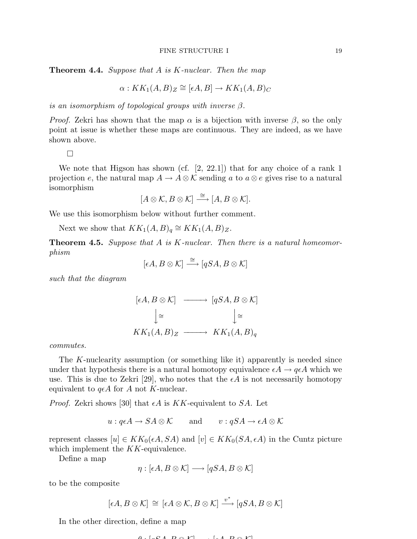Theorem 4.4. *Suppose that* A *is* K*-nuclear. Then the map*

$$
\alpha: KK_1(A, B)_Z \cong [\epsilon A, B] \to KK_1(A, B)_C
$$

*is an isomorphism of topological groups with inverse* β*.*

*Proof.* Zekri has shown that the map  $\alpha$  is a bijection with inverse  $\beta$ , so the only point at issue is whether these maps are continuous. They are indeed, as we have shown above.

 $\Box$ 

We note that Higson has shown (cf. [2, 22.1]) that for any choice of a rank 1 projection e, the natural map  $A \to A \otimes \mathcal{K}$  sending a to  $a \otimes e$  gives rise to a natural isomorphism

$$
[A \otimes \mathcal{K}, B \otimes \mathcal{K}] \stackrel{\cong}{\longrightarrow} [A, B \otimes \mathcal{K}].
$$

We use this isomorphism below without further comment.

Next we show that  $KK_1(A, B)_q \cong KK_1(A, B)_Z$ .

Theorem 4.5. *Suppose that* A *is* K*-nuclear. Then there is a natural homeomorphism*

$$
[\epsilon A, B \otimes \mathcal{K}] \stackrel{\cong}{\longrightarrow} [qSA, B \otimes \mathcal{K}]
$$

*such that the diagram*

$$
[\epsilon A, B \otimes \mathcal{K}] \longrightarrow [qSA, B \otimes \mathcal{K}]
$$

$$
\downarrow \cong \qquad \qquad [\simeq
$$

$$
KK_1(A, B)_Z \longrightarrow KK_1(A, B)_q
$$

*commutes.*

The K-nuclearity assumption (or something like it) apparently is needed since under that hypothesis there is a natural homotopy equivalence  $\epsilon A \rightarrow q \epsilon A$  which we use. This is due to Zekri [29], who notes that the  $\epsilon A$  is not necessarily homotopy equivalent to  $q\epsilon A$  for A not K-nuclear.

*Proof.* Zekri shows [30] that  $\epsilon A$  is KK-equivalent to SA. Let

$$
u: q\epsilon A \to SA \otimes \mathcal{K}
$$
 and  $v: qSA \to \epsilon A \otimes \mathcal{K}$ 

represent classes  $[u] \in KK_0(\epsilon A, SA)$  and  $[v] \in KK_0(SA, \epsilon A)$  in the Cuntz picture which implement the KK-equivalence.

Define a map

$$
\eta : [\epsilon A, B \otimes \mathcal{K}] \longrightarrow [qSA, B \otimes \mathcal{K}]
$$

to be the composite

$$
[\epsilon A, B \otimes \mathcal{K}] \,\cong\, [\epsilon A \otimes \mathcal{K}, B \otimes \mathcal{K}] \xrightarrow{v^*} [qSA, B \otimes \mathcal{K}]
$$

In the other direction, define a map

$$
0. [eC A, D \otimes V] \qquad [eA, D \otimes V]
$$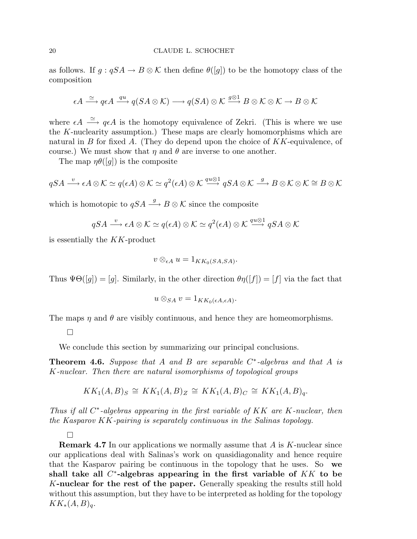as follows. If  $g: qSA \to B \otimes \mathcal{K}$  then define  $\theta([g])$  to be the homotopy class of the composition

$$
\epsilon A \xrightarrow{\simeq} q \epsilon A \xrightarrow{qu} q(SA \otimes \mathcal{K}) \longrightarrow q(SA) \otimes \mathcal{K} \xrightarrow{g \otimes 1} B \otimes \mathcal{K} \otimes \mathcal{K} \longrightarrow B \otimes \mathcal{K}
$$

where  $\epsilon A \stackrel{\simeq}{\longrightarrow} q\epsilon A$  is the homotopy equivalence of Zekri. (This is where we use the K-nuclearity assumption.) These maps are clearly homomorphisms which are natural in B for fixed A. (They do depend upon the choice of  $KK$ -equivalence, of course.) We must show that  $\eta$  and  $\theta$  are inverse to one another.

The map  $\eta\theta([q])$  is the composite

$$
qSA \xrightarrow{v} \epsilon A \otimes \mathcal{K} \simeq q(\epsilon A) \otimes \mathcal{K} \simeq q^2(\epsilon A) \otimes \mathcal{K} \xrightarrow{qu \otimes 1} qSA \otimes \mathcal{K} \xrightarrow{g} B \otimes \mathcal{K} \otimes \mathcal{K} \cong B \otimes \mathcal{K}
$$

which is homotopic to  $qSA \stackrel{g}{\longrightarrow} B \otimes \mathcal{K}$  since the composite

$$
qSA \xrightarrow{v} \epsilon A \otimes \mathcal{K} \simeq q(\epsilon A) \otimes \mathcal{K} \simeq q^2(\epsilon A) \otimes \mathcal{K} \xrightarrow{qu \otimes 1} qSA \otimes \mathcal{K}
$$

is essentially the KK-product

$$
v\otimes_{\epsilon A} u=1_{KK_0(SA,SA)}.
$$

Thus  $\Psi\Theta([g]) = [g]$ . Similarly, in the other direction  $\theta\eta([f]) = [f]$  via the fact that

$$
u\otimes_{SA} v=1_{KK_0(\epsilon A,\epsilon A)}.
$$

The maps  $\eta$  and  $\theta$  are visibly continuous, and hence they are homeomorphisms.

 $\Box$ 

We conclude this section by summarizing our principal conclusions.

Theorem 4.6. *Suppose that* A *and* B *are separable* C ∗ *-algebras and that* A *is* K*-nuclear. Then there are natural isomorphisms of topological groups*

$$
KK_1(A, B)_S \cong KK_1(A, B)_Z \cong KK_1(A, B)_C \cong KK_1(A, B)_q.
$$

*Thus if all* C ∗ *-algebras appearing in the first variable of* KK *are* K*-nuclear, then the Kasparov* KK*-pairing is separately continuous in the Salinas topology.*

 $\Box$ 

**Remark 4.7** In our applications we normally assume that  $A$  is  $K$ -nuclear since our applications deal with Salinas's work on quasidiagonality and hence require that the Kasparov pairing be continuous in the topology that he uses. So we shall take all  $C^*$ -algebras appearing in the first variable of  $KK$  to be K-nuclear for the rest of the paper. Generally speaking the results still hold without this assumption, but they have to be interpreted as holding for the topology  $KK_*(A, B)_q.$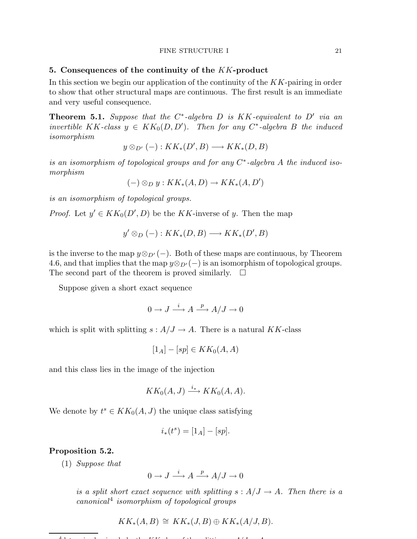#### FINE STRUCTURE I 21

#### 5. Consequences of the continuity of the KK-product

In this section we begin our application of the continuity of the KK-pairing in order to show that other structural maps are continuous. The first result is an immediate and very useful consequence.

Theorem 5.1. *Suppose that the* C ∗ *-algebra* D *is* KK*-equivalent to* D′ *via an invertible*  $KK$ -class  $y \in KK_0(D, D')$ . Then for any C<sup>\*</sup>-algebra B the induced *isomorphism*

$$
y \otimes_{D'} (-): KK_*(D', B) \longrightarrow KK_*(D, B)
$$

*is an isomorphism of topological groups and for any* C ∗ *-algebra* A *the induced isomorphism*

$$
(-) \otimes_D y : KK_*(A, D) \to KK_*(A, D')
$$

*is an isomorphism of topological groups.*

*Proof.* Let  $y' \in KK_0(D', D)$  be the KK-inverse of y. Then the map

$$
y' \otimes_D (-): KK_*(D, B) \longrightarrow KK_*(D', B)
$$

is the inverse to the map  $y \otimes_{D'} (-)$ . Both of these maps are continuous, by Theorem 4.6, and that implies that the map  $y \otimes_{D'} (-)$  is an isomorphism of topological groups. The second part of the theorem is proved similarly.  $\Box$ 

Suppose given a short exact sequence

$$
0 \to J \xrightarrow{i} A \xrightarrow{p} A/J \to 0
$$

which is split with splitting  $s: A/J \to A$ . There is a natural KK-class

$$
[1_A] - [sp] \in KK_0(A, A)
$$

and this class lies in the image of the injection

$$
KK_0(A,J) \xrightarrow{i_*} KK_0(A,A).
$$

We denote by  $t^s \in KK_0(A, J)$  the unique class satisfying

$$
i_*(t^s) = [1_A] - [sp].
$$

## Proposition 5.2.

(1) *Suppose that*

$$
0 \to J \xrightarrow{i} A \xrightarrow{p} A/J \to 0
$$

*is a split short exact sequence with splitting*  $s : A/J \rightarrow A$ *. Then there is a canonical*<sup>4</sup> *isomorphism of topological groups*

$$
KK_*(A, B) \cong KK_*(J, B) \oplus KK_*(A/J, B).
$$

 $4d$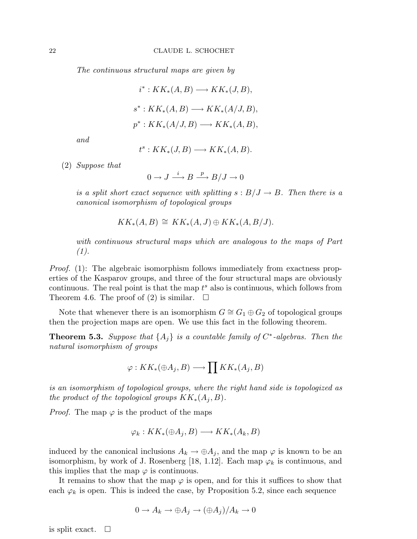*The continuous structural maps are given by*

$$
i^* : KK_*(A, B) \longrightarrow KK_*(J, B),
$$
  

$$
s^* : KK_*(A, B) \longrightarrow KK_*(A/J, B),
$$
  

$$
p^* : KK_*(A/J, B) \longrightarrow KK_*(A, B),
$$

*and*

$$
t^s: KK_*(J, B) \longrightarrow KK_*(A, B).
$$

(2) *Suppose that*

 $0 \to J \stackrel{i}{\longrightarrow} B \stackrel{p}{\longrightarrow} B/J \to 0$ 

*is a split short exact sequence with splitting*  $s : B/J \to B$ *. Then there is a canonical isomorphism of topological groups*

$$
KK_*(A, B) \cong KK_*(A, J) \oplus KK_*(A, B/J).
$$

*with continuous structural maps which are analogous to the maps of Part (1).*

*Proof.* (1): The algebraic isomorphism follows immediately from exactness properties of the Kasparov groups, and three of the four structural maps are obviously continuous. The real point is that the map  $t^s$  also is continuous, which follows from Theorem 4.6. The proof of (2) is similar.  $\square$ 

Note that whenever there is an isomorphism  $G \cong G_1 \oplus G_2$  of topological groups then the projection maps are open. We use this fact in the following theorem.

**Theorem 5.3.** Suppose that  $\{A_j\}$  is a countable family of  $C^*$ -algebras. Then the *natural isomorphism of groups*

$$
\varphi: KK_*(\oplus A_j, B) \longrightarrow \prod KK_*(A_j, B)
$$

*is an isomorphism of topological groups, where the right hand side is topologized as the product of the topological groups*  $KK_*(A_i, B)$ *.* 

*Proof.* The map  $\varphi$  is the product of the maps

$$
\varphi_k: KK_*(\oplus A_j, B) \longrightarrow KK_*(A_k, B)
$$

induced by the canonical inclusions  $A_k \to \bigoplus A_j$ , and the map  $\varphi$  is known to be an isomorphism, by work of J. Rosenberg [18, 1.12]. Each map  $\varphi_k$  is continuous, and this implies that the map  $\varphi$  is continuous.

It remains to show that the map  $\varphi$  is open, and for this it suffices to show that each  $\varphi_k$  is open. This is indeed the case, by Proposition 5.2, since each sequence

$$
0 \to A_k \to \oplus A_j \to (\oplus A_j)/A_k \to 0
$$

is split exact.  $\square$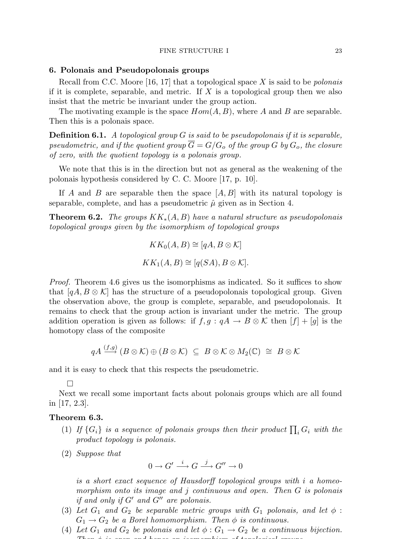#### 6. Polonais and Pseudopolonais groups

Recall from C.C. Moore [16, 17] that a topological space X is said to be *polonais* if it is complete, separable, and metric. If  $X$  is a topological group then we also insist that the metric be invariant under the group action.

The motivating example is the space  $Hom(A, B)$ , where A and B are separable. Then this is a polonais space.

Definition 6.1. *A topological group* G *is said to be pseudopolonais if it is separable, pseudometric, and if the quotient group*  $\overline{G} = G/G_o$  *of the group* G *by*  $G_o$ *, the closure of zero, with the quotient topology is a polonais group.*

We note that this is in the direction but not as general as the weakening of the polonais hypothesis considered by C. C. Moore [17, p. 10].

If A and B are separable then the space  $|A, B|$  with its natural topology is separable, complete, and has a pseudometric  $\hat{\mu}$  given as in Section 4.

Theorem 6.2. *The groups* KK∗(A, B) *have a natural structure as pseudopolonais topological groups given by the isomorphism of topological groups*

$$
KK_0(A, B) \cong [qA, B \otimes \mathcal{K}]
$$
  

$$
KK_1(A, B) \cong [q(SA), B \otimes \mathcal{K}].
$$

*Proof.* Theorem 4.6 gives us the isomorphisms as indicated. So it suffices to show that  $[qA, B \otimes \mathcal{K}]$  has the structure of a pseudopolonais topological group. Given the observation above, the group is complete, separable, and pseudopolonais. It remains to check that the group action is invariant under the metric. The group addition operation is given as follows: if  $f, g : qA \to B \otimes \mathcal{K}$  then  $[f] + [g]$  is the homotopy class of the composite

$$
qA \overset{(f,g)}{\longrightarrow} (B \otimes \mathcal{K}) \oplus (B \otimes \mathcal{K}) \ \subseteq \ B \otimes \mathcal{K} \otimes M_2(\mathbb{C}) \ \cong \ B \otimes \mathcal{K}
$$

and it is easy to check that this respects the pseudometric.

 $\Box$ 

Next we recall some important facts about polonais groups which are all found in [17, 2.3].

#### Theorem 6.3.

- (1) If  $\{G_i\}$  is a sequence of polonais groups then their product  $\prod_i G_i$  with the *product topology is polonais.*
- (2) *Suppose that*

$$
0\to G'\stackrel{i}{\longrightarrow}G\stackrel{j}{\longrightarrow}G''\to 0
$$

*is a short exact sequence of Hausdorff topological groups with* i *a homeomorphism onto its image and* j *continuous and open. Then* G *is polonais if and only if* G′ *and* G′′ *are polonais.*

- (3) Let  $G_1$  and  $G_2$  be separable metric groups with  $G_1$  polonais, and let  $\phi$ :  $G_1 \rightarrow G_2$  *be a Borel homomorphism. Then*  $\phi$  *is continuous.*
- (4) Let  $G_1$  and  $G_2$  be polonais and let  $\phi: G_1 \to G_2$  be a continuous bijection. *Then* φ *is open and hence an isomorphism of topological groups.*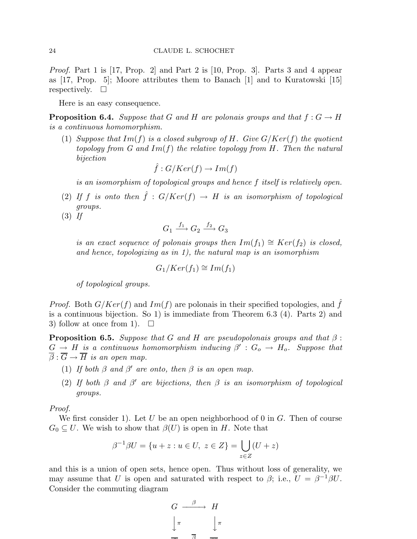*Proof.* Part 1 is [17, Prop. 2] and Part 2 is [10, Prop. 3]. Parts 3 and 4 appear as [17, Prop. 5]; Moore attributes them to Banach [1] and to Kuratowski [15] respectively.  $\square$ 

Here is an easy consequence.

**Proposition 6.4.** *Suppose that* G and H are polonais groups and that  $f: G \to H$ *is a continuous homomorphism.*

(1) *Suppose that* Im(f) *is a closed subgroup of* H*. Give* G/Ker(f) *the quotient topology from G and* Im(f) *the relative topology from* H*. Then the natural bijection*

$$
\hat{f}: G/Ker(f) \to Im(f)
$$

*is an isomorphism of topological groups and hence* f *itself is relatively open.*

(2) If f is onto then  $\hat{f}: G/Ker(f) \to H$  is an isomorphism of topological *groups.*

(3) *If*

$$
G_1 \xrightarrow{f_1} G_2 \xrightarrow{f_2} G_3
$$

*is an exact sequence of polonais groups then*  $Im(f_1) \cong Ker(f_2)$  *is closed, and hence, topologizing as in 1), the natural map is an isomorphism*

$$
G_1/Ker(f_1) \cong Im(f_1)
$$

*of topological groups.*

*Proof.* Both  $G/Ker(f)$  and  $Im(f)$  are polonais in their specified topologies, and  $\hat{f}$ is a continuous bijection. So 1) is immediate from Theorem 6.3 (4). Parts 2) and 3) follow at once from 1.  $\square$ 

**Proposition 6.5.** *Suppose that* G *and* H *are pseudopolonais groups and that*  $\beta$ :  $G \to H$  is a continuous homomorphism inducing  $\beta' : G_o \to H_o$ . Suppose that  $\overline{\beta}$  :  $\overline{G} \rightarrow \overline{H}$  *is an open map.* 

- (1) *If both*  $\beta$  *and*  $\beta'$  *are onto, then*  $\beta$  *is an open map.*
- (2) *If both* β *and* β ′ *are bijections, then* β *is an isomorphism of topological groups.*

*Proof.*

We first consider 1). Let U be an open neighborhood of 0 in  $G$ . Then of course  $G_0 \subseteq U$ . We wish to show that  $\beta(U)$  is open in H. Note that

$$
\beta^{-1}\beta U = \{u + z : u \in U, \ z \in Z\} = \bigcup_{z \in Z} (U + z)
$$

and this is a union of open sets, hence open. Thus without loss of generality, we may assume that U is open and saturated with respect to  $\beta$ ; i.e.,  $U = \beta^{-1}\beta U$ . Consider the commuting diagram

$$
G \xrightarrow{\beta} H
$$
  

$$
\downarrow \pi \qquad \qquad \downarrow \pi
$$
  

$$
\overline{B} \qquad \overline{C}
$$

 $-$ →  $+$ 

Grant College College College College College College College College College College College College College College College College College College College College College College College College College College College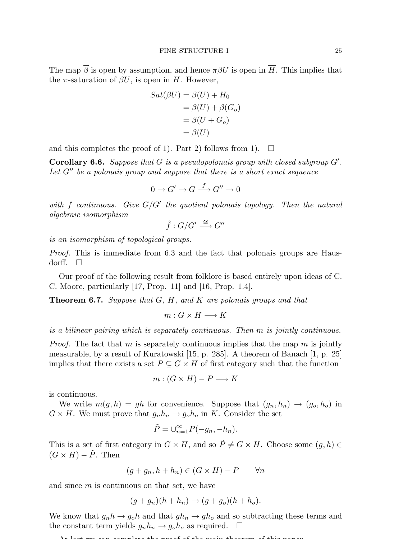The map  $\overline{\beta}$  is open by assumption, and hence  $\pi \beta U$  is open in  $\overline{H}$ . This implies that the  $\pi$ -saturation of  $\beta U$ , is open in H. However,

$$
Sat(\beta U) = \beta(U) + H_0
$$
  
=  $\beta(U) + \beta(G_o)$   
=  $\beta(U + G_o)$   
=  $\beta(U)$ 

and this completes the proof of 1). Part 2) follows from 1).  $\Box$ 

Corollary 6.6. *Suppose that* G *is a pseudopolonais group with closed subgroup* G′ *. Let* G′′ *be a polonais group and suppose that there is a short exact sequence*

$$
0 \to G' \to G \xrightarrow{f} G'' \to 0
$$

*with* f *continuous. Give* G/G′ *the quotient polonais topology. Then the natural algebraic isomorphism*

$$
\hat{f}:G/G'\stackrel{\cong}{\longrightarrow}G''
$$

*is an isomorphism of topological groups.*

*Proof.* This is immediate from 6.3 and the fact that polonais groups are Hausdorff.  $\square$ 

Our proof of the following result from folklore is based entirely upon ideas of C. C. Moore, particularly [17, Prop. 11] and [16, Prop. 1.4].

Theorem 6.7. *Suppose that* G*,* H*, and* K *are polonais groups and that*

 $m: G \times H \longrightarrow K$ 

*is a bilinear pairing which is separately continuous. Then* m *is jointly continuous.*

*Proof.* The fact that m is separately continuous implies that the map  $m$  is jointly measurable, by a result of Kuratowski [15, p. 285]. A theorem of Banach [1, p. 25] implies that there exists a set  $P \subseteq G \times H$  of first category such that the function

$$
m: (G \times H) - P \longrightarrow K
$$

is continuous.

We write  $m(g, h) = gh$  for convenience. Suppose that  $(g_n, h_n) \rightarrow (g_o, h_o)$  in  $G \times H$ . We must prove that  $g_n h_n \to g_0 h_0$  in K. Consider the set

$$
\tilde{P} = \bigcup_{n=1}^{\infty} P(-g_n, -h_n).
$$

This is a set of first category in  $G \times H$ , and so  $\tilde{P} \neq G \times H$ . Choose some  $(g, h) \in$  $(G \times H) - \tilde{P}$ . Then

$$
(g+g_n, h+h_n) \in (G \times H) - P \qquad \forall n
$$

and since  $m$  is continuous on that set, we have

$$
(g+g_n)(h+h_n) \to (g+g_o)(h+h_o).
$$

We know that  $g_n h \to g_0 h$  and that  $g h_n \to g h_0$  and so subtracting these terms and the constant term yields  $g_n h_n \to g_o h_o$  as required.  $\Box$ 

$$
0 +
$$
 last we can complete the proof of the main theorem of this mean.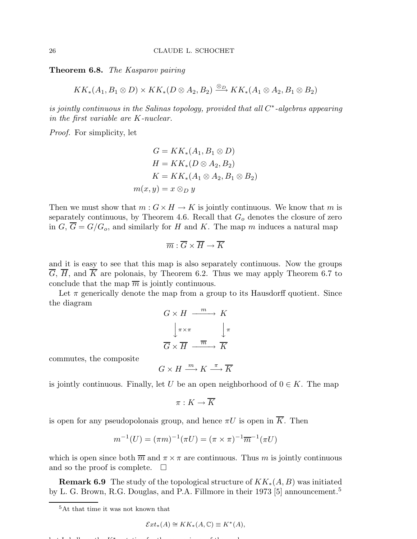Theorem 6.8. *The Kasparov pairing*

$$
KK_*(A_1, B_1 \otimes D) \times KK_*(D \otimes A_2, B_2) \xrightarrow{\otimes_D} KK_*(A_1 \otimes A_2, B_1 \otimes B_2)
$$

*is jointly continuous in the Salinas topology, provided that all*  $C^*$ -algebras appearing *in the first variable are* K*-nuclear.*

*Proof.* For simplicity, let

$$
G = KK_*(A_1, B_1 \otimes D)
$$
  
\n
$$
H = KK_*(D \otimes A_2, B_2)
$$
  
\n
$$
K = KK_*(A_1 \otimes A_2, B_1 \otimes B_2)
$$
  
\n
$$
m(x, y) = x \otimes_D y
$$

Then we must show that  $m: G \times H \to K$  is jointly continuous. We know that m is separately continuous, by Theorem 4.6. Recall that  $G<sub>o</sub>$  denotes the closure of zero in  $G, \overline{G} = G/G_o$ , and similarly for H and K. The map m induces a natural map

$$
\overline{m}:\overline{G}\times\overline{H}\to\overline{K}
$$

and it is easy to see that this map is also separately continuous. Now the groups  $\overline{G}$ ,  $\overline{H}$ , and  $\overline{K}$  are polonais, by Theorem 6.2. Thus we may apply Theorem 6.7 to conclude that the map  $\overline{m}$  is jointly continuous.

Let  $\pi$  generically denote the map from a group to its Hausdorff quotient. Since the diagram

$$
G \times H \xrightarrow{m} K
$$

$$
\downarrow \pi \times \pi
$$

$$
\overline{G} \times \overline{H} \xrightarrow{\overline{m}} \overline{K}
$$

commutes, the composite

$$
G \times H \xrightarrow{m} K \xrightarrow{\pi} \overline{K}
$$

is jointly continuous. Finally, let U be an open neighborhood of  $0 \in K$ . The map

$$
\pi:K\to \overline{K}
$$

is open for any pseudopolonais group, and hence  $\pi U$  is open in  $\overline{K}$ . Then

$$
m^{-1}(U) = (\pi m)^{-1}(\pi U) = (\pi \times \pi)^{-1} \overline{m}^{-1}(\pi U)
$$

which is open since both  $\overline{m}$  and  $\pi \times \pi$  are continuous. Thus m is jointly continuous and so the proof is complete.  $\square$ 

**Remark 6.9** The study of the topological structure of  $KK_*(A, B)$  was initiated by L. G. Brown, R.G. Douglas, and P.A. Fillmore in their 1973 [5] announcement.<sup>5</sup>

$$
\mathcal{E}xt_*(A) \cong KK_*(A,\mathbb{C}) \equiv K^*(A),
$$

 $b \downarrow T$  i shall use the K∗ notation for the convenience of the reader.

<sup>5</sup>At that time it was not known that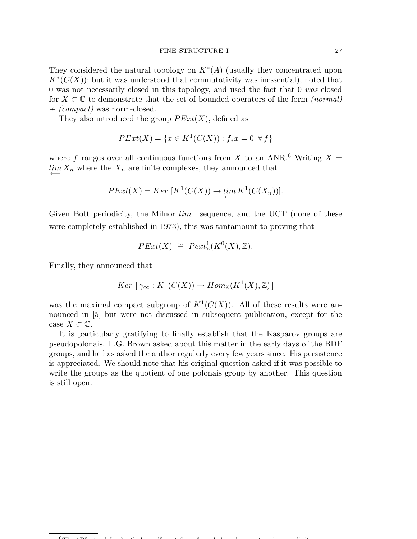#### FINE STRUCTURE I 27

They considered the natural topology on  $K^*(A)$  (usually they concentrated upon  $K^*(C(X))$ ; but it was understood that commutativity was inessential), noted that 0 was not necessarily closed in this topology, and used the fact that 0 *was* closed for X ⊂ C to demonstrate that the set of bounded operators of the form *(normal) + (compact)* was norm-closed.

They also introduced the group  $PExt(X)$ , defined as

$$
PExt(X) = \{ x \in K^{1}(C(X)) : f_{*}x = 0 \ \forall f \}
$$

where f ranges over all continuous functions from X to an ANR.<sup>6</sup> Writing  $X =$  $\lim_{n \to \infty} X_n$  where the  $X_n$  are finite complexes, they announced that

$$
PExt(X) = Ker \ [K^1(C(X)) \to \lim_{\longleftarrow} K^1(C(X_n))].
$$

Given Bott periodicity, the Milnor  $lim<sup>1</sup>$  sequence, and the UCT (none of these ←− were completely established in 1973), this was tantamount to proving that

$$
PExt(X) \cong \text{Pext}^1_{\mathbb{Z}}(K^0(X), \mathbb{Z}).
$$

Finally, they announced that

$$
Ker \left[ \gamma_{\infty} : K^1(C(X)) \to Hom_{\mathbb{Z}}(K^1(X), \mathbb{Z}) \right]
$$

was the maximal compact subgroup of  $K^1(C(X))$ . All of these results were announced in [5] but were not discussed in subsequent publication, except for the case  $X \subset \mathbb{C}$ .

It is particularly gratifying to finally establish that the Kasparov groups are pseudopolonais. L.G. Brown asked about this matter in the early days of the BDF groups, and he has asked the author regularly every few years since. His persistence is appreciated. We should note that his original question asked if it was possible to write the groups as the quotient of one polonais group by another. This question is still open.

 $6$ The "P" stood for "pathological", notation is served the notation is served in the notation is served in the notation is served in the notation is served in the notation is served in the notation is served in the notat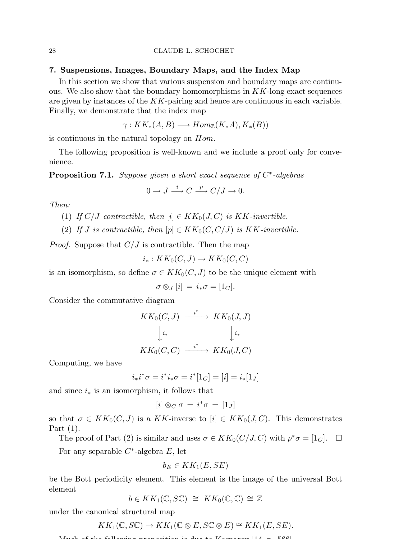#### 7. Suspensions, Images, Boundary Maps, and the Index Map

In this section we show that various suspension and boundary maps are continuous. We also show that the boundary homomorphisms in  $KK$ -long exact sequences are given by instances of the  $KK$ -pairing and hence are continuous in each variable. Finally, we demonstrate that the index map

$$
\gamma: KK_*(A, B) \longrightarrow Hom_{\mathbb{Z}}(K_*A), K_*(B))
$$

is continuous in the natural topology on Hom.

The following proposition is well-known and we include a proof only for convenience.

Proposition 7.1. *Suppose given a short exact sequence of* C ∗ *-algebras*

$$
0 \to J \xrightarrow{i} C \xrightarrow{p} C/J \to 0.
$$

*Then:*

(1) *If*  $C/J$  *contractible, then*  $[i] \in KK_0(J, C)$  *is*  $KK$ *-invertible.* 

(2) If *J* is contractible, then  $[p] \in KK_0(C, C/J)$  is KK-invertible.

*Proof.* Suppose that  $C/J$  is contractible. Then the map

$$
i_*:KK_0(C,J)\to KK_0(C,C)
$$

is an isomorphism, so define  $\sigma \in KK_0(C, J)$  to be the unique element with

$$
\sigma \otimes_J [i] = i_* \sigma = [1_C].
$$

Consider the commutative diagram

$$
KK_0(C, J) \xrightarrow{i^*} KK_0(J, J)
$$

$$
\downarrow i_* \qquad \qquad \downarrow i_*
$$

$$
KK_0(C, C) \xrightarrow{i^*} KK_0(J, C)
$$

Computing, we have

$$
i_*i^*\sigma = i^*i_*\sigma = i^*[1_C] = [i] = i_*[1_J]
$$

and since  $i_*$  is an isomorphism, it follows that

$$
[i] \otimes_C \sigma = i^* \sigma = [1_J]
$$

so that  $\sigma \in KK_0(C, J)$  is a KK-inverse to  $[i] \in KK_0(J, C)$ . This demonstrates Part (1).

The proof of Part (2) is similar and uses  $\sigma \in KK_0(C/J, C)$  with  $p^*\sigma = [1_C]$ .  $\Box$ 

For any separable  $C^*$ -algebra  $E$ , let

$$
b_E \in KK_1(E,SE)
$$

be the Bott periodicity element. This element is the image of the universal Bott element

$$
b \in KK_1(\mathbb{C}, S\mathbb{C}) \cong KK_0(\mathbb{C}, \mathbb{C}) \cong \mathbb{Z}
$$

under the canonical structural map

$$
KK_1(\mathbb{C}, S\mathbb{C}) \to KK_1(\mathbb{C} \otimes E, S\mathbb{C} \otimes E) \cong KK_1(E, SE).
$$

 $M_{\odot}$  following proposition is due to  $K_{\odot}$  proposition is  $566$ .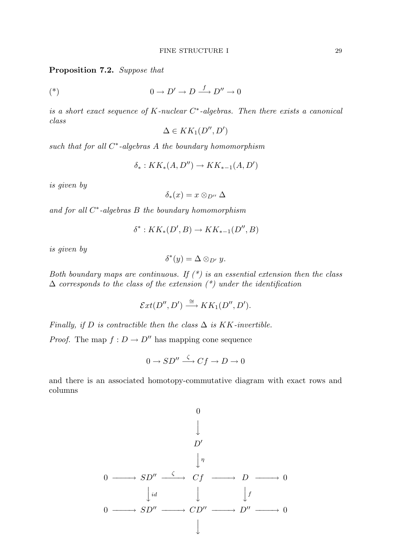Proposition 7.2. *Suppose that*

$$
(*)\qquad \qquad 0 \to D' \to D \xrightarrow{f} D'' \to 0
$$

*is a short exact sequence of* K*-nuclear* C ∗ *-algebras. Then there exists a canonical class*

$$
\Delta \in KK_1(D'',D')
$$

*such that for all* C ∗ *-algebras* A *the boundary homomorphism*

$$
\delta_*: KK_*(A, D'') \to KK_{*-1}(A, D')
$$

*is given by*

$$
\delta_*(x)=x\otimes_{D''}\Delta
$$

*and for all* C ∗ *-algebras* B *the boundary homomorphism*

$$
\delta^* : KK_*(D', B) \to KK_{*-1}(D'', B)
$$

*is given by*

$$
\delta^*(y) = \Delta \otimes_{D'} y.
$$

*Both boundary maps are continuous. If (\*) is an essential extension then the class* ∆ *corresponds to the class of the extension (\*) under the identification*

$$
\mathcal{E}xt(D'',D') \stackrel{\cong}{\longrightarrow} KK_1(D'',D').
$$

*Finally, if*  $D$  *is contractible then the class*  $\Delta$  *is*  $KK$ *-invertible.* 

*Proof.* The map  $f : D \to D''$  has mapping cone sequence

$$
0 \to SD'' \xrightarrow{\zeta} Cf \to D \to 0
$$

and there is an associated homotopy-commutative diagram with exact rows and columns

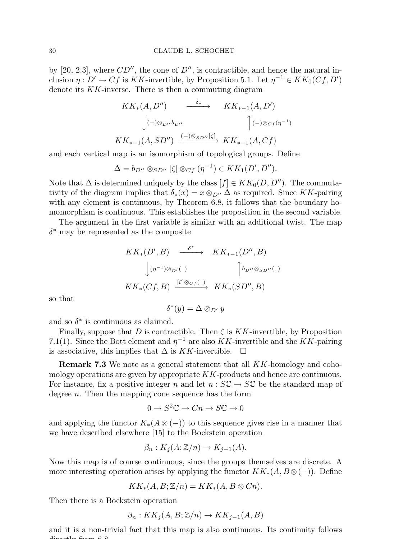by [20, 2.3], where  $CD''$ , the cone of  $D''$ , is contractible, and hence the natural inclusion  $\eta: D' \to Cf$  is KK-invertible, by Proposition 5.1. Let  $\eta^{-1} \in KK_0(Cf, D')$ denote its  $KK$ -inverse. There is then a commuting diagram

$$
KK_*(A, D'') \xrightarrow{\delta_*} KK_{*-1}(A, D')
$$
  

$$
\downarrow (-)\otimes_{D''} b_{D''} \qquad \qquad \uparrow (-)\otimes_{C_f} (\eta^{-1})
$$
  

$$
KK_{*-1}(A, SD'') \xrightarrow{(-)\otimes_{SD''} [\zeta]} KK_{*-1}(A, Cf)
$$

and each vertical map is an isomorphism of topological groups. Define

$$
\Delta = b_{D''} \otimes_{SD''} [\zeta] \otimes_{Cf} (\eta^{-1}) \in KK_1(D', D'').
$$

Note that  $\Delta$  is determined uniquely by the class  $[f] \in KK_0(D, D'')$ . The commutativity of the diagram implies that  $\delta_*(x) = x \otimes_{D''} \Delta$  as required. Since KK-pairing with any element is continuous, by Theorem 6.8, it follows that the boundary homomorphism is continuous. This establishes the proposition in the second variable.

The argument in the first variable is similar with an additional twist. The map  $\delta^*$  may be represented as the composite

$$
KK_*(D', B) \xrightarrow{\delta^*} KK_{*-1}(D'', B)
$$
  

$$
\downarrow (\eta^{-1}) \otimes_{D'}( ) \qquad \qquad \uparrow b_{D''} \otimes_{SD''}( )
$$
  

$$
KK_*(Cf, B) \xrightarrow{[\zeta] \otimes_{Cf} ( )} KK_*(SD'', B)
$$

so that

$$
\delta^*(y) = \Delta \otimes_{D'} y
$$

and so  $\delta^*$  is continuous as claimed.

Finally, suppose that D is contractible. Then  $\zeta$  is  $KK$ -invertible, by Proposition 7.1(1). Since the Bott element and  $\eta^{-1}$  are also KK-invertible and the KK-pairing is associative, this implies that  $\Delta$  is KK-invertible.  $□$ 

Remark 7.3 We note as a general statement that all KK-homology and cohomology operations are given by appropriate  $KK$ -products and hence are continuous. For instance, fix a positive integer n and let  $n : \mathcal{SC} \to \mathcal{SC}$  be the standard map of degree  $n$ . Then the mapping cone sequence has the form

$$
0\to S^2\mathbb{C}\to Cn\to S\mathbb{C}\to 0
$$

and applying the functor  $K_*(A \otimes (-))$  to this sequence gives rise in a manner that we have described elsewhere [15] to the Bockstein operation

$$
\beta_n: K_j(A; \mathbb{Z}/n) \to K_{j-1}(A).
$$

Now this map is of course continuous, since the groups themselves are discrete. A more interesting operation arises by applying the functor  $KK_*(A, B \otimes (-))$ . Define

$$
KK_*(A, B; \mathbb{Z}/n) = KK_*(A, B \otimes Cn).
$$

Then there is a Bockstein operation

$$
\beta_n: KK_j(A, B; \mathbb{Z}/n) \to KK_{j-1}(A, B)
$$

and it is a non-trivial fact that this map is also continuous. Its continuity follows  $\dim_{\mathbb{C}} L$  from  $\mathcal{C}$   $\mathcal{Q}$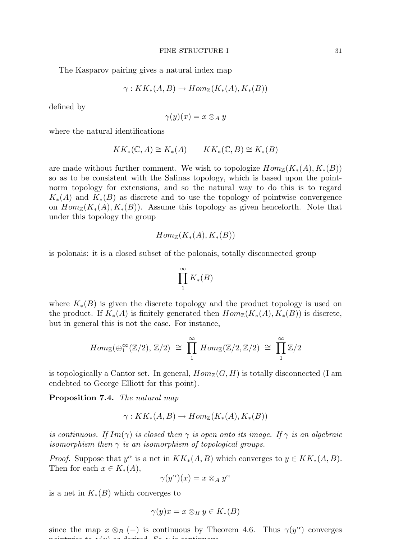The Kasparov pairing gives a natural index map

$$
\gamma: KK_*(A, B) \to Hom_{\mathbb{Z}}(K_*(A), K_*(B))
$$

defined by

$$
\gamma(y)(x)=x\otimes_A y
$$

where the natural identifications

$$
KK_* (\mathbb{C}, A) \cong K_* (A) \qquad KK_* (\mathbb{C}, B) \cong K_* (B)
$$

are made without further comment. We wish to topologize  $Hom_{\mathbb{Z}}(K_*(A), K_*(B))$ so as to be consistent with the Salinas topology, which is based upon the pointnorm topology for extensions, and so the natural way to do this is to regard  $K_*(A)$  and  $K_*(B)$  as discrete and to use the topology of pointwise convergence on  $Hom_{\mathbb{Z}}(K_*(A), K_*(B))$ . Assume this topology as given henceforth. Note that under this topology the group

$$
Hom_{\mathbb{Z}}(K_*(A), K_*(B))
$$

is polonais: it is a closed subset of the polonais, totally disconnected group

$$
\prod_1^{\infty} K_*(B)
$$

where  $K_*(B)$  is given the discrete topology and the product topology is used on the product. If  $K_*(A)$  is finitely generated then  $Hom_{\mathbb{Z}}(K_*(A), K_*(B))$  is discrete, but in general this is not the case. For instance,

$$
Hom_{\mathbb{Z}}(\oplus_1^{\infty}(\mathbb{Z}/2), \mathbb{Z}/2) \cong \prod_1^{\infty} Hom_{\mathbb{Z}}(\mathbb{Z}/2, \mathbb{Z}/2) \cong \prod_1^{\infty} \mathbb{Z}/2
$$

is topologically a Cantor set. In general,  $Hom_{\mathbb{Z}}(G, H)$  is totally disconnected (I am endebted to George Elliott for this point).

Proposition 7.4. *The natural map*

$$
\gamma: KK_*(A, B) \to Hom_{\mathbb{Z}}(K_*(A), K_*(B))
$$

*is continuous. If*  $Im(\gamma)$  *is closed then*  $\gamma$  *is open onto its image. If*  $\gamma$  *is an algebraic isomorphism then*  $\gamma$  *is an isomorphism of topological groups.* 

*Proof.* Suppose that  $y^{\alpha}$  is a net in  $KK_*(A, B)$  which converges to  $y \in KK_*(A, B)$ . Then for each  $x \in K_*(A)$ ,

$$
\gamma(y^{\alpha})(x) = x \otimes_A y^{\alpha}
$$

is a net in  $K_*(B)$  which converges to

$$
\gamma(y)x = x \otimes_B y \in K_*(B)
$$

since the map  $x \otimes_B (-)$  is continuous by Theorem 4.6. Thus  $\gamma(y^{\alpha})$  converges  $p \cdot \mathbf{1} = \mathbf{0}$  is continuous. So  $\mathbf{0}$  is continuous. So  $\mathbf{0}$  is continuous.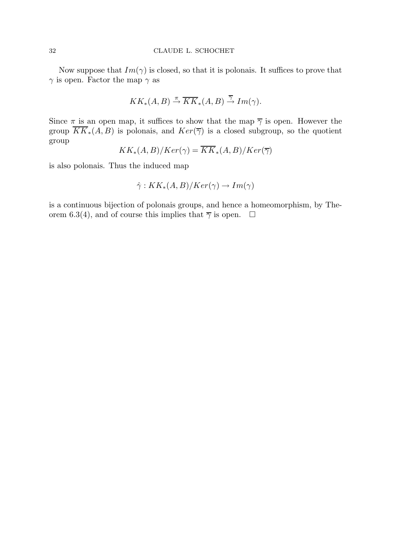Now suppose that  $Im(\gamma)$  is closed, so that it is polonais. It suffices to prove that  $\gamma$  is open. Factor the map  $\gamma$  as

$$
KK_*(A, B) \stackrel{\pi}{\rightarrow} \overline{KK}_*(A, B) \stackrel{\overline{\gamma}}{\rightarrow} Im(\gamma).
$$

Since  $\pi$  is an open map, it suffices to show that the map  $\overline{\gamma}$  is open. However the group  $\overline{KK}_*(A, B)$  is polonais, and  $Ker(\overline{\gamma})$  is a closed subgroup, so the quotient group

$$
KK_*(A,B)/Ker(\gamma)=KK_*(A,B)/Ker(\overline{\gamma})
$$

is also polonais. Thus the induced map

$$
\hat{\gamma}: KK_*(A, B)/Ker(\gamma) \to Im(\gamma)
$$

is a continuous bijection of polonais groups, and hence a homeomorphism, by Theorem 6.3(4), and of course this implies that  $\overline{\gamma}$  is open.  $\Box$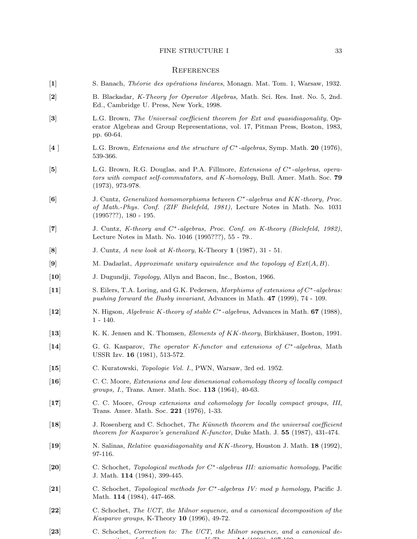#### **REFERENCES**

- [1] S. Banach, *Th´eorie des op´erations lin´eares*, Monagn. Mat. Tom. 1, Warsaw, 1932.
- [2] B. Blackadar, *K-Theory for Operator Algebras*, Math. Sci. Res. Inst. No. 5, 2nd. Ed., Cambridge U. Press, New York, 1998.
- [3] L.G. Brown, *The Universal coefficient theorem for Ext and quasidiagonality*, Operator Algebras and Group Representations, vol. 17, Pitman Press, Boston, 1983, pp. 60-64.
- [4 ] L.G. Brown, *Extensions and the structure of* C∗*-algebras*, Symp. Math. 20 (1976), 539-366.
- [5] L.G. Brown, R.G. Douglas, and P.A. Fillmore, *Extensions of* C∗*-algebras, operators with compact self-commutators, and* K*-homology*, Bull. Amer. Math. Soc. 79 (1973), 973-978.
- [6] J. Cuntz, *Generalized homomorphisms between* C<sup>∗</sup> *-algebras and* KK*-theory, Proc. of Math.-Phys. Conf. (ZIF Bielefeld, 1981)*, Lecture Notes in Math. No. 1031 (1995???), 180 - 195.
- [7] J. Cuntz, *K-theory and* C∗*-algebras, Proc. Conf. on K-theory (Bielefeld, 1982)*, Lecture Notes in Math. No. 1046 (1995???), 55 - 79..
- [8] J. Cuntz, *A new look at K-theory*, K-Theory 1 (1987), 31 51.
- [9] M. Dadarlat, *Approximate unitary equivalence and the topology of* Ext(A, B).
- [10] J. Dugundji, *Topology*, Allyn and Bacon, Inc., Boston, 1966.
- [11] S. Eilers, T.A. Loring, and G.K. Pedersen, *Morphisms of extensions of* C∗*-algebras: pushing forward the Busby invariant*, Advances in Math. 47 (1999), 74 - 109.
- [12] N. Higson, *Algebraic* K*-theory of stable* C<sup>∗</sup> *-algebras*, Advances in Math. 67 (1988), 1 - 140.
- [13] K. K. Jensen and K. Thomsen, *Elements of* KK*-theory*, Birkh¨auser, Boston, 1991.
- [14] G. G. Kasparov, *The operator K-functor and extensions of* C∗*-algebras*, Math USSR Izv. 16 (1981), 513-572.
- [15] C. Kuratowski, *Topologie Vol. I.*, PWN, Warsaw, 3rd ed. 1952.
- [16] C. C. Moore, *Extensions and low dimensional cohomology theory of locally compact groups, I.*, Trans. Amer. Math. Soc. 113 (1964), 40-63.
- [17] C. C. Moore, *Group extensions and cohomology for locally compact groups, III*, Trans. Amer. Math. Soc. 221 (1976), 1-33.
- [18] J. Rosenberg and C. Schochet, *The K¨unneth theorem and the universal coefficient theorem for Kasparov's generalized K-functor*, Duke Math. J. 55 (1987), 431-474.
- [19] N. Salinas, *Relative quasidiagonality and* KK*-theory*, Houston J. Math. 18 (1992), 97-116.
- [20] C. Schochet, *Topological methods for* C<sup>∗</sup> *-algebras III: axiomatic homology*, Pacific J. Math. 114 (1984), 399-445.
- [21] C. Schochet, *Topological methods for* C∗*-algebras IV: mod p homology*, Pacific J. Math. **114** (1984), 447-468.
- [22] C. Schochet, *The UCT, the Milnor sequence, and a canonical decomposition of the Kasparov groups*, K-Theory 10 (1996), 49-72.
- [23] C. Schochet, *Correction to: The UCT, the Milnor sequence, and a canonical decomposition of the Kasparov groups*, K-Theory 14 (1998), 197-199.